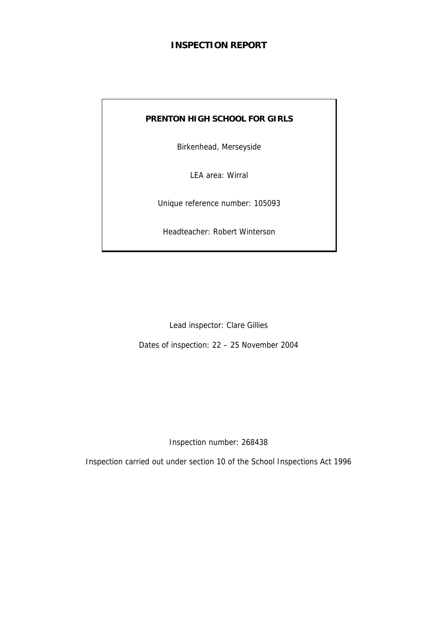# **INSPECTION REPORT**

### **PRENTON HIGH SCHOOL FOR GIRLS**

Birkenhead, Merseyside

LEA area: Wirral

Unique reference number: 105093

Headteacher: Robert Winterson

Lead inspector: Clare Gillies

Dates of inspection: 22 – 25 November 2004

Inspection number: 268438

Inspection carried out under section 10 of the School Inspections Act 1996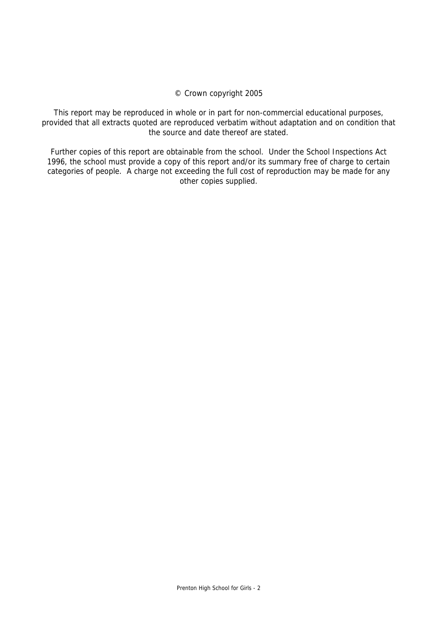#### © Crown copyright 2005

This report may be reproduced in whole or in part for non-commercial educational purposes, provided that all extracts quoted are reproduced verbatim without adaptation and on condition that the source and date thereof are stated.

Further copies of this report are obtainable from the school. Under the School Inspections Act 1996, the school must provide a copy of this report and/or its summary free of charge to certain categories of people. A charge not exceeding the full cost of reproduction may be made for any other copies supplied.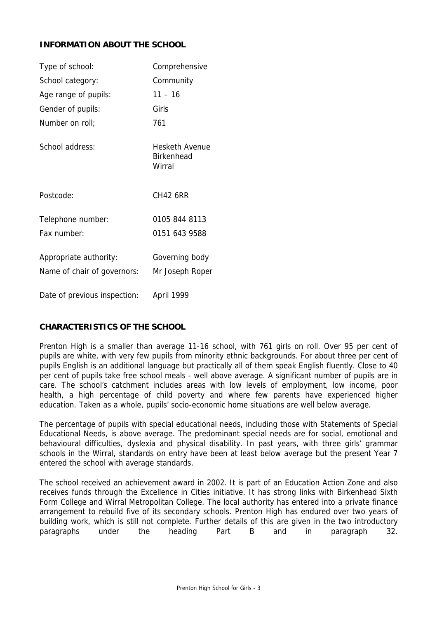### **INFORMATION ABOUT THE SCHOOL**

| Type of school:                                       | Comprehensive                                 |
|-------------------------------------------------------|-----------------------------------------------|
| School category:                                      | Community                                     |
| Age range of pupils:                                  | $11 - 16$                                     |
| Gender of pupils:                                     | Girls                                         |
| Number on roll;                                       | 761                                           |
| School address:                                       | <b>Hesketh Avenue</b><br>Birkenhead<br>Wirral |
| Postcode:                                             | <b>CH42 6RR</b>                               |
| Telephone number:                                     | 0105 844 8113                                 |
| Fax number:                                           | 0151 643 9588                                 |
| Appropriate authority:<br>Name of chair of governors: | Governing body<br>Mr Joseph Roper             |
| Date of previous inspection:                          | April 1999                                    |

# **CHARACTERISTICS OF THE SCHOOL**

Prenton High is a smaller than average 11-16 school, with 761 girls on roll. Over 95 per cent of pupils are white, with very few pupils from minority ethnic backgrounds. For about three per cent of pupils English is an additional language but practically all of them speak English fluently. Close to 40 per cent of pupils take free school meals - well above average. A significant number of pupils are in care. The school's catchment includes areas with low levels of employment, low income, poor health, a high percentage of child poverty and where few parents have experienced higher education. Taken as a whole, pupils' socio-economic home situations are well below average.

The percentage of pupils with special educational needs, including those with Statements of Special Educational Needs, is above average. The predominant special needs are for social, emotional and behavioural difficulties, dyslexia and physical disability. In past years, with three girls' grammar schools in the Wirral, standards on entry have been at least below average but the present Year 7 entered the school with average standards.

The school received an achievement award in 2002. It is part of an Education Action Zone and also receives funds through the Excellence in Cities initiative. It has strong links with Birkenhead Sixth Form College and Wirral Metropolitan College. The local authority has entered into a private finance arrangement to rebuild five of its secondary schools. Prenton High has endured over two years of building work, which is still not complete. Further details of this are given in the two introductory paragraphs under the heading Part B and in paragraph 32.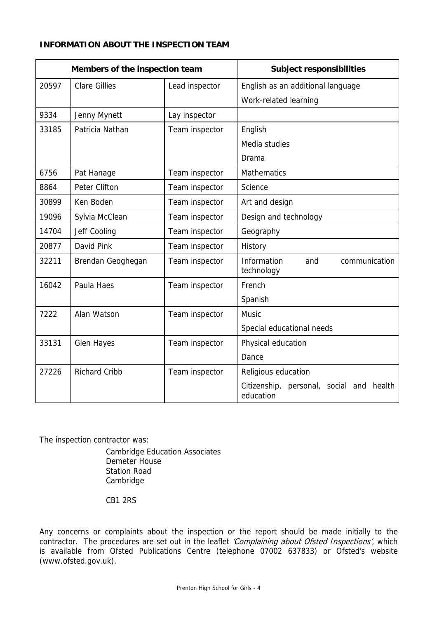# **INFORMATION ABOUT THE INSPECTION TEAM**

| Members of the inspection team |                      |                | <b>Subject responsibilities</b>                       |
|--------------------------------|----------------------|----------------|-------------------------------------------------------|
| 20597                          | <b>Clare Gillies</b> | Lead inspector | English as an additional language                     |
|                                |                      |                | Work-related learning                                 |
| 9334                           | Jenny Mynett         | Lay inspector  |                                                       |
| 33185                          | Patricia Nathan      | Team inspector | English                                               |
|                                |                      |                | Media studies                                         |
|                                |                      |                | Drama                                                 |
| 6756                           | Pat Hanage           | Team inspector | <b>Mathematics</b>                                    |
| 8864                           | Peter Clifton        | Team inspector | Science                                               |
| 30899                          | Ken Boden            | Team inspector | Art and design                                        |
| 19096                          | Sylvia McClean       | Team inspector | Design and technology                                 |
| 14704                          | Jeff Cooling         | Team inspector | Geography                                             |
| 20877                          | David Pink           | Team inspector | History                                               |
| 32211                          | Brendan Geoghegan    | Team inspector | Information<br>communication<br>and<br>technology     |
| 16042                          | Paula Haes           | Team inspector | French                                                |
|                                |                      |                | Spanish                                               |
| 7222                           | Alan Watson          | Team inspector | <b>Music</b>                                          |
|                                |                      |                | Special educational needs                             |
| 33131                          | <b>Glen Hayes</b>    | Team inspector | Physical education                                    |
|                                |                      |                | Dance                                                 |
| 27226                          | <b>Richard Cribb</b> | Team inspector | Religious education                                   |
|                                |                      |                | Citizenship, personal, social and health<br>education |

The inspection contractor was:

 Cambridge Education Associates Demeter House Station Road Cambridge

CB1 2RS

Any concerns or complaints about the inspection or the report should be made initially to the contractor. The procedures are set out in the leaflet 'Complaining about Ofsted Inspections', which is available from Ofsted Publications Centre (telephone 07002 637833) or Ofsted's website (www.ofsted.gov.uk).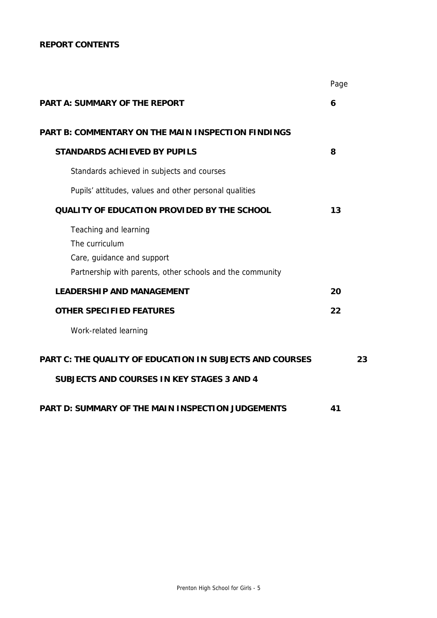# **REPORT CONTENTS**

|                                                                                                                                    | Page |    |
|------------------------------------------------------------------------------------------------------------------------------------|------|----|
| <b>PART A: SUMMARY OF THE REPORT</b>                                                                                               | 6    |    |
| PART B: COMMENTARY ON THE MAIN INSPECTION FINDINGS                                                                                 |      |    |
| <b>STANDARDS ACHIEVED BY PUPILS</b>                                                                                                | 8    |    |
| Standards achieved in subjects and courses                                                                                         |      |    |
| Pupils' attitudes, values and other personal qualities                                                                             |      |    |
| <b>QUALITY OF EDUCATION PROVIDED BY THE SCHOOL</b>                                                                                 | 13   |    |
| Teaching and learning<br>The curriculum<br>Care, guidance and support<br>Partnership with parents, other schools and the community |      |    |
| <b>LEADERSHIP AND MANAGEMENT</b>                                                                                                   | 20   |    |
| <b>OTHER SPECIFIED FEATURES</b>                                                                                                    | 22   |    |
| Work-related learning                                                                                                              |      |    |
| <b>PART C: THE QUALITY OF EDUCATION IN SUBJECTS AND COURSES</b><br><b>SUBJECTS AND COURSES IN KEY STAGES 3 AND 4</b>               |      | 23 |
| <b>PART D: SUMMARY OF THE MAIN INSPECTION JUDGEMENTS</b>                                                                           | 41   |    |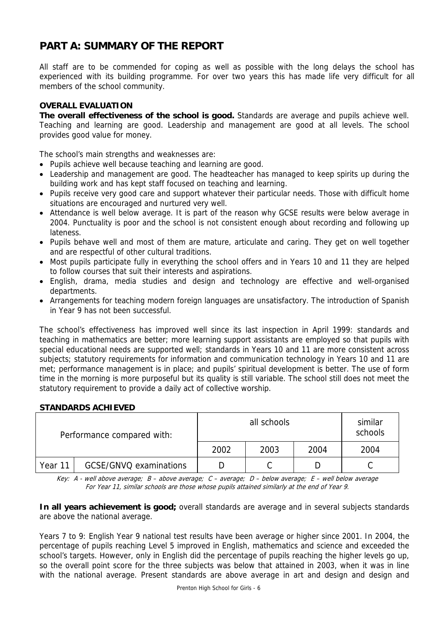# **PART A: SUMMARY OF THE REPORT**

All staff are to be commended for coping as well as possible with the long delays the school has experienced with its building programme. For over two years this has made life very difficult for all members of the school community.

## **OVERALL EVALUATION**

**The overall effectiveness of the school is good.** Standards are average and pupils achieve well. Teaching and learning are good. Leadership and management are good at all levels. The school provides good value for money.

The school's main strengths and weaknesses are:

- Pupils achieve well because teaching and learning are good.
- Leadership and management are good. The headteacher has managed to keep spirits up during the building work and has kept staff focused on teaching and learning.
- Pupils receive very good care and support whatever their particular needs. Those with difficult home situations are encouraged and nurtured very well.
- Attendance is well below average. It is part of the reason why GCSE results were below average in 2004. Punctuality is poor and the school is not consistent enough about recording and following up lateness.
- Pupils behave well and most of them are mature, articulate and caring. They get on well together and are respectful of other cultural traditions.
- Most pupils participate fully in everything the school offers and in Years 10 and 11 they are helped to follow courses that suit their interests and aspirations.
- English, drama, media studies and design and technology are effective and well-organised departments.
- Arrangements for teaching modern foreign languages are unsatisfactory. The introduction of Spanish in Year 9 has not been successful.

The school's effectiveness has improved well since its last inspection in April 1999: standards and teaching in mathematics are better; more learning support assistants are employed so that pupils with special educational needs are supported well; standards in Years 10 and 11 are more consistent across subjects; statutory requirements for information and communication technology in Years 10 and 11 are met; performance management is in place; and pupils' spiritual development is better. The use of form time in the morning is more purposeful but its quality is still variable. The school still does not meet the statutory requirement to provide a daily act of collective worship.

#### **STANDARDS ACHIEVED**

| Performance compared with: |                        |      | similar<br>schools |      |      |
|----------------------------|------------------------|------|--------------------|------|------|
|                            |                        | 2002 | 2003               | 2004 | 2004 |
| Year 11                    | GCSE/GNVQ examinations |      |                    |      |      |

Key: A - well above average; B – above average; C – average; D – below average; E – well below average For Year 11, similar schools are those whose pupils attained similarly at the end of Year 9.

**In all years achievement is good;** overall standards are average and in several subjects standards are above the national average.

Years 7 to 9: English Year 9 national test results have been average or higher since 2001. In 2004, the percentage of pupils reaching Level 5 improved in English, mathematics and science and exceeded the school's targets. However, only in English did the percentage of pupils reaching the higher levels go up, so the overall point score for the three subjects was below that attained in 2003, when it was in line with the national average. Present standards are above average in art and design and design and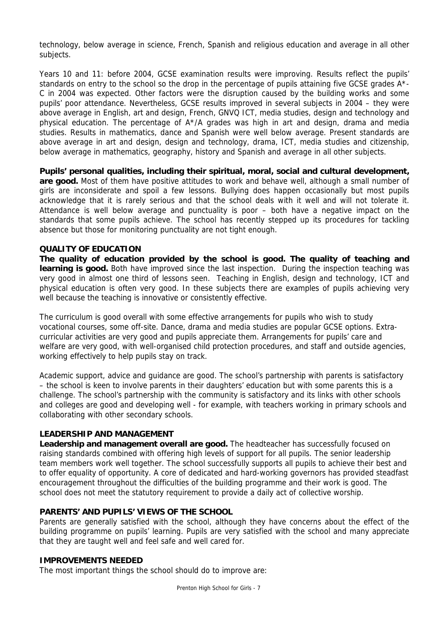technology, below average in science, French, Spanish and religious education and average in all other subjects.

Years 10 and 11: before 2004, GCSE examination results were improving. Results reflect the pupils' standards on entry to the school so the drop in the percentage of pupils attaining five GCSE grades A\*- C in 2004 was expected. Other factors were the disruption caused by the building works and some pupils' poor attendance. Nevertheless, GCSE results improved in several subjects in 2004 – they were above average in English, art and design, French, GNVQ ICT, media studies, design and technology and physical education. The percentage of A\*/A grades was high in art and design, drama and media studies. Results in mathematics, dance and Spanish were well below average. Present standards are above average in art and design, design and technology, drama, ICT, media studies and citizenship, below average in mathematics, geography, history and Spanish and average in all other subjects.

**Pupils' personal qualities, including their spiritual, moral, social and cultural development, are good.** Most of them have positive attitudes to work and behave well, although a small number of girls are inconsiderate and spoil a few lessons. Bullying does happen occasionally but most pupils acknowledge that it is rarely serious and that the school deals with it well and will not tolerate it. Attendance is well below average and punctuality is poor – both have a negative impact on the standards that some pupils achieve. The school has recently stepped up its procedures for tackling absence but those for monitoring punctuality are not tight enough.

#### **QUALITY OF EDUCATION**

**The quality of education provided by the school is good. The quality of teaching and learning is good.** Both have improved since the last inspection. During the inspection teaching was very good in almost one third of lessons seen. Teaching in English, design and technology, ICT and physical education is often very good. In these subjects there are examples of pupils achieving very well because the teaching is innovative or consistently effective.

The curriculum is good overall with some effective arrangements for pupils who wish to study vocational courses, some off-site. Dance, drama and media studies are popular GCSE options. Extracurricular activities are very good and pupils appreciate them. Arrangements for pupils' care and welfare are very good, with well-organised child protection procedures, and staff and outside agencies, working effectively to help pupils stay on track.

Academic support, advice and guidance are good. The school's partnership with parents is satisfactory – the school is keen to involve parents in their daughters' education but with some parents this is a challenge. The school's partnership with the community is satisfactory and its links with other schools and colleges are good and developing well - for example, with teachers working in primary schools and collaborating with other secondary schools.

#### **LEADERSHIP AND MANAGEMENT**

Leadership and management overall are good. The headteacher has successfully focused on raising standards combined with offering high levels of support for all pupils. The senior leadership team members work well together. The school successfully supports all pupils to achieve their best and to offer equality of opportunity. A core of dedicated and hard-working governors has provided steadfast encouragement throughout the difficulties of the building programme and their work is good. The school does not meet the statutory requirement to provide a daily act of collective worship.

## **PARENTS' AND PUPILS' VIEWS OF THE SCHOOL**

Parents are generally satisfied with the school, although they have concerns about the effect of the building programme on pupils' learning. Pupils are very satisfied with the school and many appreciate that they are taught well and feel safe and well cared for.

#### **IMPROVEMENTS NEEDED**

The most important things the school should do to improve are: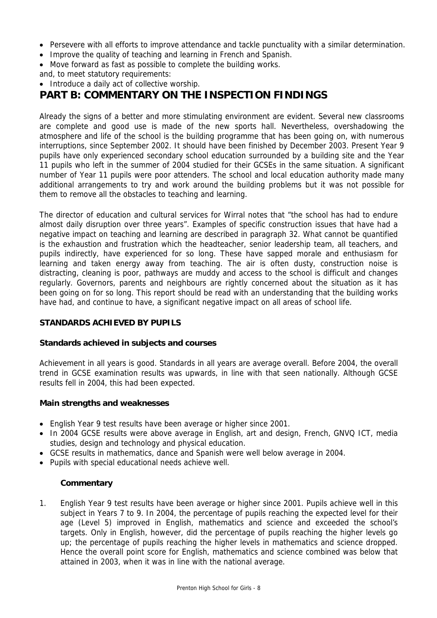- Persevere with all efforts to improve attendance and tackle punctuality with a similar determination.
- Improve the quality of teaching and learning in French and Spanish.
- Move forward as fast as possible to complete the building works.
- and, to meet statutory requirements:
- Introduce a daily act of collective worship.

# **PART B: COMMENTARY ON THE INSPECTION FINDINGS**

Already the signs of a better and more stimulating environment are evident. Several new classrooms are complete and good use is made of the new sports hall. Nevertheless, overshadowing the atmosphere and life of the school is the building programme that has been going on, with numerous interruptions, since September 2002. It should have been finished by December 2003. Present Year 9 pupils have only experienced secondary school education surrounded by a building site and the Year 11 pupils who left in the summer of 2004 studied for their GCSEs in the same situation. A significant number of Year 11 pupils were poor attenders. The school and local education authority made many additional arrangements to try and work around the building problems but it was not possible for them to remove all the obstacles to teaching and learning.

The director of education and cultural services for Wirral notes that "the school has had to endure almost daily disruption over three years". Examples of specific construction issues that have had a negative impact on teaching and learning are described in paragraph 32. What cannot be quantified is the exhaustion and frustration which the headteacher, senior leadership team, all teachers, and pupils indirectly, have experienced for so long. These have sapped morale and enthusiasm for learning and taken energy away from teaching. The air is often dusty, construction noise is distracting, cleaning is poor, pathways are muddy and access to the school is difficult and changes regularly. Governors, parents and neighbours are rightly concerned about the situation as it has been going on for so long. This report should be read with an understanding that the building works have had, and continue to have, a significant negative impact on all areas of school life.

#### **STANDARDS ACHIEVED BY PUPILS**

#### **Standards achieved in subjects and courses**

Achievement in all years is good. Standards in all years are average overall. Before 2004, the overall trend in GCSE examination results was upwards, in line with that seen nationally. Although GCSE results fell in 2004, this had been expected.

#### **Main strengths and weaknesses**

- English Year 9 test results have been average or higher since 2001.
- In 2004 GCSE results were above average in English, art and design, French, GNVQ ICT, media studies, design and technology and physical education.
- GCSE results in mathematics, dance and Spanish were well below average in 2004.
- Pupils with special educational needs achieve well.

#### **Commentary**

1. English Year 9 test results have been average or higher since 2001. Pupils achieve well in this subject in Years 7 to 9. In 2004, the percentage of pupils reaching the expected level for their age (Level 5) improved in English, mathematics and science and exceeded the school's targets. Only in English, however, did the percentage of pupils reaching the higher levels go up; the percentage of pupils reaching the higher levels in mathematics and science dropped. Hence the overall point score for English, mathematics and science combined was below that attained in 2003, when it was in line with the national average.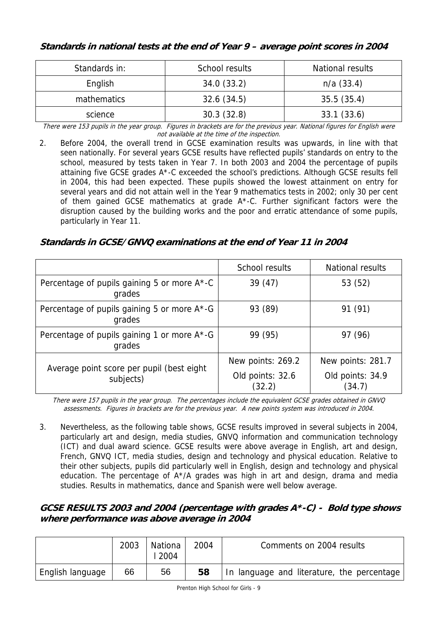# **Standards in national tests at the end of Year 9 – average point scores in 2004**

| Standards in: | School results | National results |
|---------------|----------------|------------------|
| English       | 34.0(33.2)     | $n/a$ (33.4)     |
| mathematics   | 32.6(34.5)     | 35.5(35.4)       |
| science       | 30.3(32.8)     | 33.1(33.6)       |

There were 153 pupils in the year group. Figures in brackets are for the previous year. National figures for English were not available at the time of the inspection.

2. Before 2004, the overall trend in GCSE examination results was upwards, in line with that seen nationally. For several years GCSE results have reflected pupils' standards on entry to the school, measured by tests taken in Year 7. In both 2003 and 2004 the percentage of pupils attaining five GCSE grades A\*-C exceeded the school's predictions. Although GCSE results fell in 2004, this had been expected. These pupils showed the lowest attainment on entry for several years and did not attain well in the Year 9 mathematics tests in 2002; only 30 per cent of them gained GCSE mathematics at grade A\*-C. Further significant factors were the disruption caused by the building works and the poor and erratic attendance of some pupils, particularly in Year 11.

**Standards in GCSE/GNVQ examinations at the end of Year 11 in 2004** 

|                                                        | School results             | <b>National results</b>    |
|--------------------------------------------------------|----------------------------|----------------------------|
| Percentage of pupils gaining 5 or more A*-C<br>grades  | 39(47)                     | 53 (52)                    |
| Percentage of pupils gaining 5 or more A*-G<br>grades  | 93 (89)                    | 91 (91)                    |
| Percentage of pupils gaining 1 or more A*-G<br>grades  | 99 (95)                    | 97 (96)                    |
|                                                        | New points: 269.2          | New points: 281.7          |
| Average point score per pupil (best eight<br>subjects) | Old points: 32.6<br>(32.2) | Old points: 34.9<br>(34.7) |

There were 157 pupils in the year group. The percentages include the equivalent GCSE grades obtained in GNVQ assessments. Figures in brackets are for the previous year. A new points system was introduced in 2004.

3. Nevertheless, as the following table shows, GCSE results improved in several subjects in 2004, particularly art and design, media studies, GNVQ information and communication technology (ICT) and dual award science. GCSE results were above average in English, art and design, French, GNVQ ICT, media studies, design and technology and physical education. Relative to their other subjects, pupils did particularly well in English, design and technology and physical education. The percentage of A\*/A grades was high in art and design, drama and media studies. Results in mathematics, dance and Spanish were well below average.

# **GCSE RESULTS 2003 and 2004 (percentage with grades A\*-C) - Bold type shows where performance was above average in 2004**

|                  | 2003 | Nationa<br>2004 | 2004 | Comments on 2004 results                   |
|------------------|------|-----------------|------|--------------------------------------------|
| English language | 66   | 56              | 58   | In language and literature, the percentage |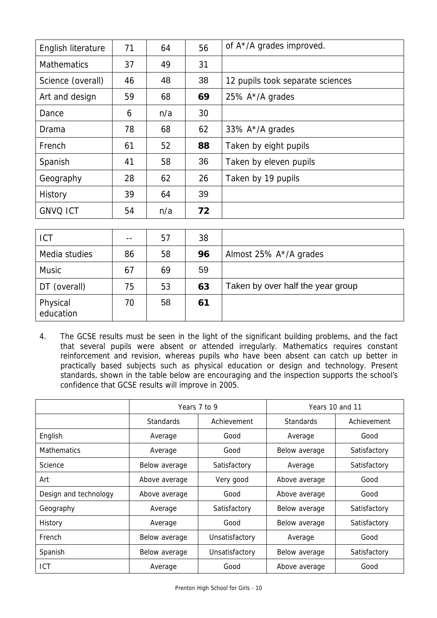| English literature | 71 | 64  | 56 | of $A^*/A$ grades improved.      |
|--------------------|----|-----|----|----------------------------------|
| <b>Mathematics</b> | 37 | 49  | 31 |                                  |
| Science (overall)  | 46 | 48  | 38 | 12 pupils took separate sciences |
| Art and design     | 59 | 68  | 69 | 25% A*/A grades                  |
| Dance              | 6  | n/a | 30 |                                  |
| Drama              | 78 | 68  | 62 | 33% A*/A grades                  |
| French             | 61 | 52  | 88 | Taken by eight pupils            |
| Spanish            | 41 | 58  | 36 | Taken by eleven pupils           |
| Geography          | 28 | 62  | 26 | Taken by 19 pupils               |
| History            | 39 | 64  | 39 |                                  |
| <b>GNVQ ICT</b>    | 54 | n/a | 72 |                                  |

| <b>ICT</b>            |    | 57 | 38 |                                   |
|-----------------------|----|----|----|-----------------------------------|
| Media studies         | 86 | 58 | 96 | Almost 25% A*/A grades            |
| <b>Music</b>          | 67 | 69 | 59 |                                   |
| DT (overall)          | 75 | 53 | 63 | Taken by over half the year group |
| Physical<br>education | 70 | 58 | 61 |                                   |

4. The GCSE results must be seen in the light of the significant building problems, and the fact that several pupils were absent or attended irregularly. Mathematics requires constant reinforcement and revision, whereas pupils who have been absent can catch up better in practically based subjects such as physical education or design and technology. Present standards, shown in the table below are encouraging and the inspection supports the school's confidence that GCSE results will improve in 2005.

|                       | Years 7 to 9     |                | Years 10 and 11  |              |  |
|-----------------------|------------------|----------------|------------------|--------------|--|
|                       | <b>Standards</b> | Achievement    | <b>Standards</b> | Achievement  |  |
| English               | Average          | Good           | Average          | Good         |  |
| <b>Mathematics</b>    | Average          | Good           | Below average    | Satisfactory |  |
| Science               | Below average    | Satisfactory   | Average          | Satisfactory |  |
| Art                   | Above average    | Very good      | Above average    | Good         |  |
| Design and technology | Above average    | Good           | Above average    | Good         |  |
| Geography             | Average          | Satisfactory   | Below average    | Satisfactory |  |
| History               | Average          | Good           | Below average    | Satisfactory |  |
| French                | Below average    | Unsatisfactory | Average          | Good         |  |
| Spanish               | Below average    | Unsatisfactory | Below average    | Satisfactory |  |
| ICT                   | Average          | Good           | Above average    | Good         |  |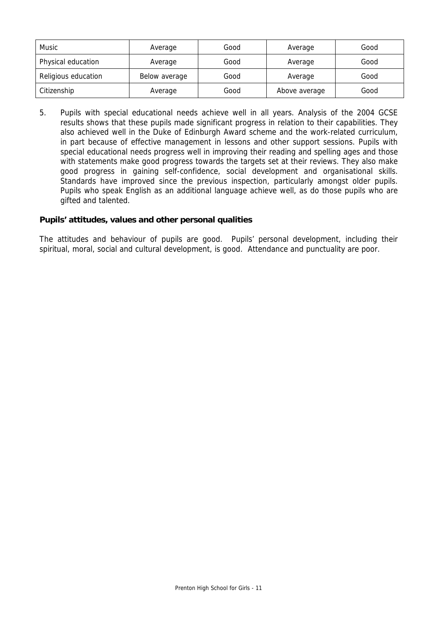| <b>Music</b>        | Average       | Good | Average       | Good |
|---------------------|---------------|------|---------------|------|
| Physical education  | Average       | Good | Average       | Good |
| Religious education | Below average | Good | Average       | Good |
| Citizenship         | Average       | Good | Above average | Good |

5. Pupils with special educational needs achieve well in all years. Analysis of the 2004 GCSE results shows that these pupils made significant progress in relation to their capabilities. They also achieved well in the Duke of Edinburgh Award scheme and the work-related curriculum, in part because of effective management in lessons and other support sessions. Pupils with special educational needs progress well in improving their reading and spelling ages and those with statements make good progress towards the targets set at their reviews. They also make good progress in gaining self-confidence, social development and organisational skills. Standards have improved since the previous inspection, particularly amongst older pupils. Pupils who speak English as an additional language achieve well, as do those pupils who are gifted and talented.

#### **Pupils' attitudes, values and other personal qualities**

The attitudes and behaviour of pupils are good. Pupils' personal development, including their spiritual, moral, social and cultural development, is good. Attendance and punctuality are poor.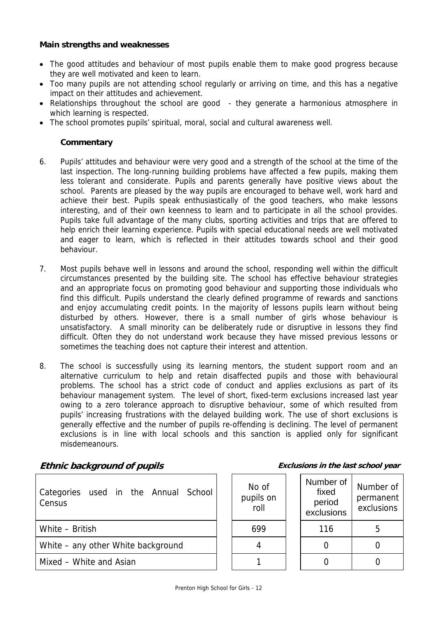#### **Main strengths and weaknesses**

- The good attitudes and behaviour of most pupils enable them to make good progress because they are well motivated and keen to learn.
- Too many pupils are not attending school regularly or arriving on time, and this has a negative impact on their attitudes and achievement.
- Relationships throughout the school are good they generate a harmonious atmosphere in which learning is respected.
- The school promotes pupils' spiritual, moral, social and cultural awareness well.

#### **Commentary**

- 6. Pupils' attitudes and behaviour were very good and a strength of the school at the time of the last inspection. The long-running building problems have affected a few pupils, making them less tolerant and considerate. Pupils and parents generally have positive views about the school. Parents are pleased by the way pupils are encouraged to behave well, work hard and achieve their best. Pupils speak enthusiastically of the good teachers, who make lessons interesting, and of their own keenness to learn and to participate in all the school provides. Pupils take full advantage of the many clubs, sporting activities and trips that are offered to help enrich their learning experience. Pupils with special educational needs are well motivated and eager to learn, which is reflected in their attitudes towards school and their good behaviour.
- 7. Most pupils behave well in lessons and around the school, responding well within the difficult circumstances presented by the building site. The school has effective behaviour strategies and an appropriate focus on promoting good behaviour and supporting those individuals who find this difficult. Pupils understand the clearly defined programme of rewards and sanctions and enjoy accumulating credit points. In the majority of lessons pupils learn without being disturbed by others. However, there is a small number of girls whose behaviour is unsatisfactory. A small minority can be deliberately rude or disruptive in lessons they find difficult. Often they do not understand work because they have missed previous lessons or sometimes the teaching does not capture their interest and attention.
- 8. The school is successfully using its learning mentors, the student support room and an alternative curriculum to help and retain disaffected pupils and those with behavioural problems. The school has a strict code of conduct and applies exclusions as part of its behaviour management system. The level of short, fixed-term exclusions increased last year owing to a zero tolerance approach to disruptive behaviour, some of which resulted from pupils' increasing frustrations with the delayed building work. The use of short exclusions is generally effective and the number of pupils re-offending is declining. The level of permanent exclusions is in line with local schools and this sanction is applied only for significant misdemeanours.

#### **Ethnic background of pupils Exclusions in the last school year**

| Categories used in the Annual School<br>Census | No of<br>pupils on<br>roll | <b>NUTTIVEL OF</b><br>fixed<br>period<br>exclusions | Numbe<br>permal<br>exclus |
|------------------------------------------------|----------------------------|-----------------------------------------------------|---------------------------|
| White - British                                | 699                        | 116                                                 | 5                         |
| White – any other White background             | 4                          |                                                     |                           |
| Mixed - White and Asian                        |                            |                                                     |                           |

| No of<br>pupils on<br>roll | Number of<br>fixed<br>period<br>exclusions | Number of<br>permanent<br>exclusions |
|----------------------------|--------------------------------------------|--------------------------------------|
|                            | 116                                        |                                      |
|                            |                                            |                                      |
|                            |                                            |                                      |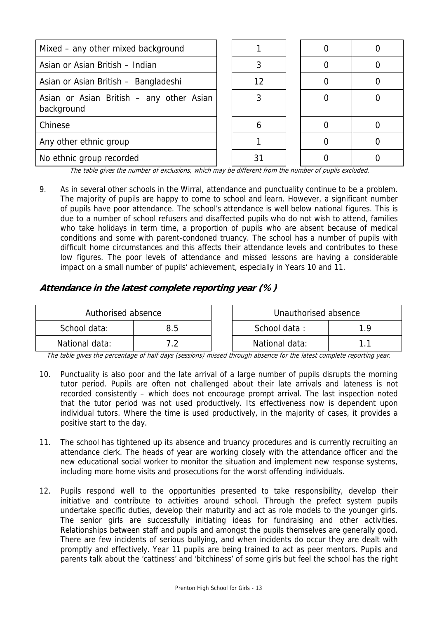| Mixed – any other mixed background                     |  |    |  |  |
|--------------------------------------------------------|--|----|--|--|
| Asian or Asian British - Indian                        |  |    |  |  |
| Asian or Asian British - Bangladeshi                   |  | 12 |  |  |
| Asian or Asian British - any other Asian<br>background |  |    |  |  |
| Chinese                                                |  |    |  |  |
| Any other ethnic group                                 |  |    |  |  |
| No ethnic group recorded                               |  |    |  |  |

The table gives the number of exclusions, which may be different from the number of pupils excluded.

9. As in several other schools in the Wirral, attendance and punctuality continue to be a problem. The majority of pupils are happy to come to school and learn. However, a significant number of pupils have poor attendance. The school's attendance is well below national figures. This is due to a number of school refusers and disaffected pupils who do not wish to attend, families who take holidays in term time, a proportion of pupils who are absent because of medical conditions and some with parent-condoned truancy. The school has a number of pupils with difficult home circumstances and this affects their attendance levels and contributes to these low figures. The poor levels of attendance and missed lessons are having a considerable impact on a small number of pupils' achievement, especially in Years 10 and 11.

# **Attendance in the latest complete reporting year (%)**

| Authorised absence |     | Unauthorised absence |     |
|--------------------|-----|----------------------|-----|
| School data:       | 8.5 | School data:         | 1 Q |
| National data:     |     | National data:       |     |

The table gives the percentage of half days (sessions) missed through absence for the latest complete reporting year.

- 10. Punctuality is also poor and the late arrival of a large number of pupils disrupts the morning tutor period. Pupils are often not challenged about their late arrivals and lateness is not recorded consistently – which does not encourage prompt arrival. The last inspection noted that the tutor period was not used productively. Its effectiveness now is dependent upon individual tutors. Where the time is used productively, in the majority of cases, it provides a positive start to the day.
- 11. The school has tightened up its absence and truancy procedures and is currently recruiting an attendance clerk. The heads of year are working closely with the attendance officer and the new educational social worker to monitor the situation and implement new response systems, including more home visits and prosecutions for the worst offending individuals.
- 12. Pupils respond well to the opportunities presented to take responsibility, develop their initiative and contribute to activities around school. Through the prefect system pupils undertake specific duties, develop their maturity and act as role models to the younger girls. The senior girls are successfully initiating ideas for fundraising and other activities. Relationships between staff and pupils and amongst the pupils themselves are generally good. There are few incidents of serious bullying, and when incidents do occur they are dealt with promptly and effectively. Year 11 pupils are being trained to act as peer mentors. Pupils and parents talk about the 'cattiness' and 'bitchiness' of some girls but feel the school has the right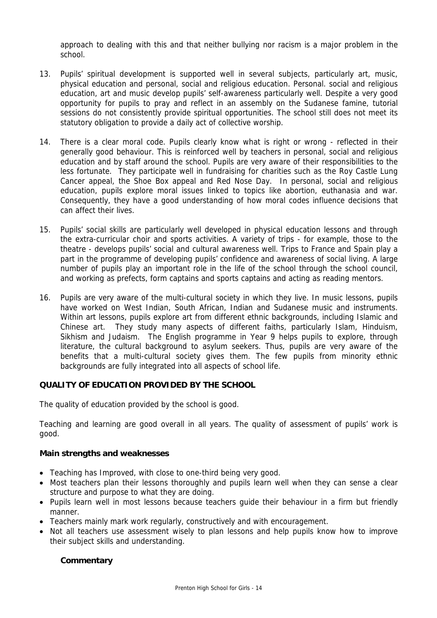approach to dealing with this and that neither bullying nor racism is a major problem in the school.

- 13. Pupils' spiritual development is supported well in several subjects, particularly art, music, physical education and personal, social and religious education. Personal. social and religious education, art and music develop pupils' self-awareness particularly well. Despite a very good opportunity for pupils to pray and reflect in an assembly on the Sudanese famine, tutorial sessions do not consistently provide spiritual opportunities. The school still does not meet its statutory obligation to provide a daily act of collective worship.
- 14. There is a clear moral code. Pupils clearly know what is right or wrong reflected in their generally good behaviour. This is reinforced well by teachers in personal, social and religious education and by staff around the school. Pupils are very aware of their responsibilities to the less fortunate. They participate well in fundraising for charities such as the Roy Castle Lung Cancer appeal, the Shoe Box appeal and Red Nose Day. In personal, social and religious education, pupils explore moral issues linked to topics like abortion, euthanasia and war. Consequently, they have a good understanding of how moral codes influence decisions that can affect their lives.
- 15. Pupils' social skills are particularly well developed in physical education lessons and through the extra-curricular choir and sports activities. A variety of trips - for example, those to the theatre - develops pupils' social and cultural awareness well. Trips to France and Spain play a part in the programme of developing pupils' confidence and awareness of social living. A large number of pupils play an important role in the life of the school through the school council, and working as prefects, form captains and sports captains and acting as reading mentors.
- 16. Pupils are very aware of the multi-cultural society in which they live. In music lessons, pupils have worked on West Indian, South African, Indian and Sudanese music and instruments. Within art lessons, pupils explore art from different ethnic backgrounds, including Islamic and Chinese art. They study many aspects of different faiths, particularly Islam, Hinduism, Sikhism and Judaism. The English programme in Year 9 helps pupils to explore, through literature, the cultural background to asylum seekers. Thus, pupils are very aware of the benefits that a multi-cultural society gives them. The few pupils from minority ethnic backgrounds are fully integrated into all aspects of school life.

#### **QUALITY OF EDUCATION PROVIDED BY THE SCHOOL**

The quality of education provided by the school is good.

Teaching and learning are good overall in all years. The quality of assessment of pupils' work is good.

#### **Main strengths and weaknesses**

- Teaching has Improved, with close to one-third being very good.
- Most teachers plan their lessons thoroughly and pupils learn well when they can sense a clear structure and purpose to what they are doing.
- Pupils learn well in most lessons because teachers guide their behaviour in a firm but friendly manner.
- Teachers mainly mark work regularly, constructively and with encouragement.
- Not all teachers use assessment wisely to plan lessons and help pupils know how to improve their subject skills and understanding.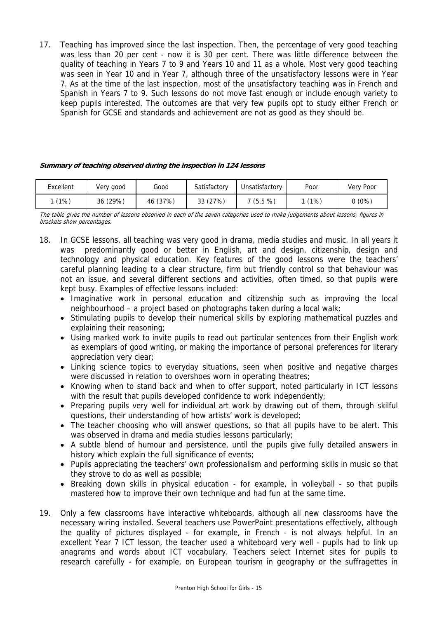17. Teaching has improved since the last inspection. Then, the percentage of very good teaching was less than 20 per cent - now it is 30 per cent. There was little difference between the quality of teaching in Years 7 to 9 and Years 10 and 11 as a whole. Most very good teaching was seen in Year 10 and in Year 7, although three of the unsatisfactory lessons were in Year 7. As at the time of the last inspection, most of the unsatisfactory teaching was in French and Spanish in Years 7 to 9. Such lessons do not move fast enough or include enough variety to keep pupils interested. The outcomes are that very few pupils opt to study either French or Spanish for GCSE and standards and achievement are not as good as they should be.

#### **Summary of teaching observed during the inspection in 124 lessons**

| Excellent | Very good | Good     | Satisfactory | Unsatisfactory | Poor  | Very Poor |
|-----------|-----------|----------|--------------|----------------|-------|-----------|
| (1%)      | 36 (29%)  | 46 (37%) | 33 (27%)     | 7(5.5%)        | 1(1%) | $0(0\%)$  |

The table gives the number of lessons observed in each of the seven categories used to make judgements about lessons; figures in brackets show percentages.

- 18. In GCSE lessons, all teaching was very good in drama, media studies and music. In all years it was predominantly good or better in English, art and design, citizenship, design and technology and physical education. Key features of the good lessons were the teachers' careful planning leading to a clear structure, firm but friendly control so that behaviour was not an issue, and several different sections and activities, often timed, so that pupils were kept busy. Examples of effective lessons included:
	- Imaginative work in personal education and citizenship such as improving the local neighbourhood – a project based on photographs taken during a local walk;
	- Stimulating pupils to develop their numerical skills by exploring mathematical puzzles and explaining their reasoning;
	- Using marked work to invite pupils to read out particular sentences from their English work as exemplars of good writing, or making the importance of personal preferences for literary appreciation very clear;
	- Linking science topics to everyday situations, seen when positive and negative charges were discussed in relation to overshoes worn in operating theatres;
	- Knowing when to stand back and when to offer support, noted particularly in ICT lessons with the result that pupils developed confidence to work independently;
	- Preparing pupils very well for individual art work by drawing out of them, through skilful questions, their understanding of how artists' work is developed;
	- The teacher choosing who will answer questions, so that all pupils have to be alert. This was observed in drama and media studies lessons particularly;
	- A subtle blend of humour and persistence, until the pupils give fully detailed answers in history which explain the full significance of events;
	- Pupils appreciating the teachers' own professionalism and performing skills in music so that they strove to do as well as possible;
	- Breaking down skills in physical education for example, in volleyball so that pupils mastered how to improve their own technique and had fun at the same time.
- 19. Only a few classrooms have interactive whiteboards, although all new classrooms have the necessary wiring installed. Several teachers use PowerPoint presentations effectively, although the quality of pictures displayed - for example, in French - is not always helpful. In an excellent Year 7 ICT lesson, the teacher used a whiteboard very well - pupils had to link up anagrams and words about ICT vocabulary. Teachers select Internet sites for pupils to research carefully - for example, on European tourism in geography or the suffragettes in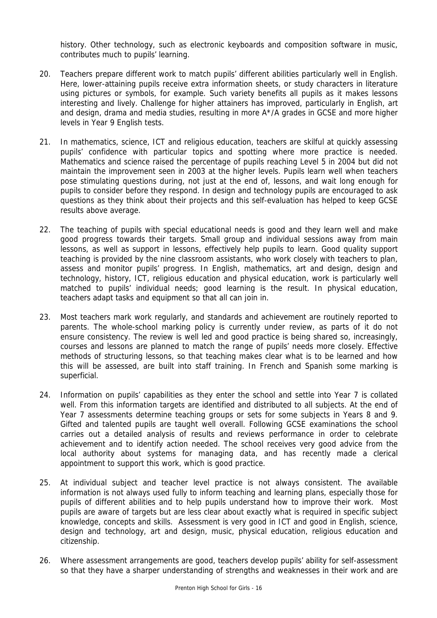history. Other technology, such as electronic keyboards and composition software in music, contributes much to pupils' learning.

- 20. Teachers prepare different work to match pupils' different abilities particularly well in English. Here, lower-attaining pupils receive extra information sheets, or study characters in literature using pictures or symbols, for example. Such variety benefits all pupils as it makes lessons interesting and lively. Challenge for higher attainers has improved, particularly in English, art and design, drama and media studies, resulting in more  $A^{\star}/A$  grades in GCSE and more higher levels in Year 9 English tests.
- 21. In mathematics, science, ICT and religious education, teachers are skilful at quickly assessing pupils' confidence with particular topics and spotting where more practice is needed. Mathematics and science raised the percentage of pupils reaching Level 5 in 2004 but did not maintain the improvement seen in 2003 at the higher levels. Pupils learn well when teachers pose stimulating questions during, not just at the end of, lessons, and wait long enough for pupils to consider before they respond. In design and technology pupils are encouraged to ask questions as they think about their projects and this self-evaluation has helped to keep GCSE results above average.
- 22. The teaching of pupils with special educational needs is good and they learn well and make good progress towards their targets. Small group and individual sessions away from main lessons, as well as support in lessons, effectively help pupils to learn. Good quality support teaching is provided by the nine classroom assistants, who work closely with teachers to plan, assess and monitor pupils' progress. In English, mathematics, art and design, design and technology, history, ICT, religious education and physical education, work is particularly well matched to pupils' individual needs; good learning is the result. In physical education, teachers adapt tasks and equipment so that all can join in.
- 23. Most teachers mark work regularly, and standards and achievement are routinely reported to parents. The whole-school marking policy is currently under review, as parts of it do not ensure consistency. The review is well led and good practice is being shared so, increasingly, courses and lessons are planned to match the range of pupils' needs more closely. Effective methods of structuring lessons, so that teaching makes clear what is to be learned and how this will be assessed, are built into staff training. In French and Spanish some marking is superficial.
- 24. Information on pupils' capabilities as they enter the school and settle into Year 7 is collated well. From this information targets are identified and distributed to all subjects. At the end of Year 7 assessments determine teaching groups or sets for some subjects in Years 8 and 9. Gifted and talented pupils are taught well overall. Following GCSE examinations the school carries out a detailed analysis of results and reviews performance in order to celebrate achievement and to identify action needed. The school receives very good advice from the local authority about systems for managing data, and has recently made a clerical appointment to support this work, which is good practice.
- 25. At individual subject and teacher level practice is not always consistent. The available information is not always used fully to inform teaching and learning plans, especially those for pupils of different abilities and to help pupils understand how to improve their work. Most pupils are aware of targets but are less clear about exactly what is required in specific subject knowledge, concepts and skills. Assessment is very good in ICT and good in English, science, design and technology, art and design, music, physical education, religious education and citizenship.
- 26. Where assessment arrangements are good, teachers develop pupils' ability for self-assessment so that they have a sharper understanding of strengths and weaknesses in their work and are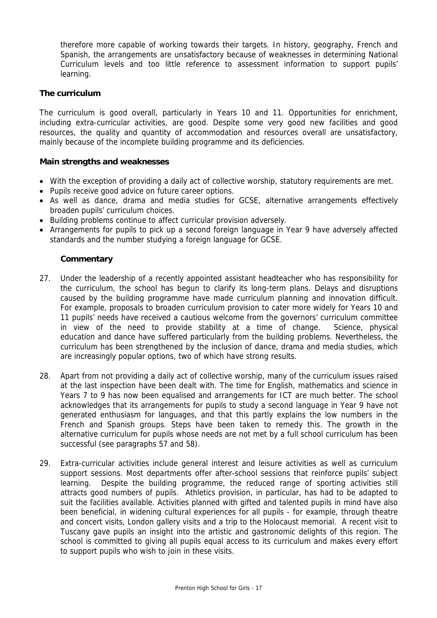therefore more capable of working towards their targets. In history, geography, French and Spanish, the arrangements are unsatisfactory because of weaknesses in determining National Curriculum levels and too little reference to assessment information to support pupils' learning.

#### **The curriculum**

The curriculum is good overall, particularly in Years 10 and 11. Opportunities for enrichment, including extra-curricular activities, are good. Despite some very good new facilities and good resources, the quality and quantity of accommodation and resources overall are unsatisfactory, mainly because of the incomplete building programme and its deficiencies.

#### **Main strengths and weaknesses**

- With the exception of providing a daily act of collective worship, statutory requirements are met.
- Pupils receive good advice on future career options.
- As well as dance, drama and media studies for GCSE, alternative arrangements effectively broaden pupils' curriculum choices.
- Building problems continue to affect curricular provision adversely.
- Arrangements for pupils to pick up a second foreign language in Year 9 have adversely affected standards and the number studying a foreign language for GCSE.

- 27. Under the leadership of a recently appointed assistant headteacher who has responsibility for the curriculum, the school has begun to clarify its long-term plans. Delays and disruptions caused by the building programme have made curriculum planning and innovation difficult. For example, proposals to broaden curriculum provision to cater more widely for Years 10 and 11 pupils' needs have received a cautious welcome from the governors' curriculum committee in view of the need to provide stability at a time of change. Science, physical education and dance have suffered particularly from the building problems. Nevertheless, the curriculum has been strengthened by the inclusion of dance, drama and media studies, which are increasingly popular options, two of which have strong results.
- 28. Apart from not providing a daily act of collective worship, many of the curriculum issues raised at the last inspection have been dealt with. The time for English, mathematics and science in Years 7 to 9 has now been equalised and arrangements for ICT are much better. The school acknowledges that its arrangements for pupils to study a second language in Year 9 have not generated enthusiasm for languages, and that this partly explains the low numbers in the French and Spanish groups. Steps have been taken to remedy this. The growth in the alternative curriculum for pupils whose needs are not met by a full school curriculum has been successful (see paragraphs 57 and 58).
- 29. Extra-curricular activities include general interest and leisure activities as well as curriculum support sessions. Most departments offer after-school sessions that reinforce pupils' subject learning. Despite the building programme, the reduced range of sporting activities still attracts good numbers of pupils. Athletics provision, in particular, has had to be adapted to suit the facilities available. Activities planned with gifted and talented pupils in mind have also been beneficial, in widening cultural experiences for all pupils - for example, through theatre and concert visits, London gallery visits and a trip to the Holocaust memorial. A recent visit to Tuscany gave pupils an insight into the artistic and gastronomic delights of this region. The school is committed to giving all pupils equal access to its curriculum and makes every effort to support pupils who wish to join in these visits.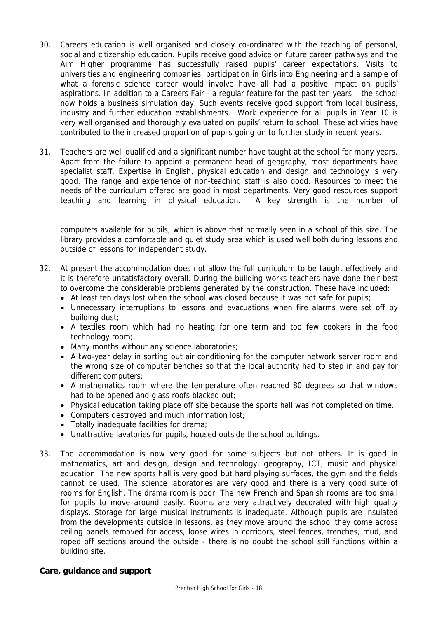- 30. Careers education is well organised and closely co-ordinated with the teaching of personal, social and citizenship education. Pupils receive good advice on future career pathways and the Aim Higher programme has successfully raised pupils' career expectations. Visits to universities and engineering companies, participation in Girls into Engineering and a sample of what a forensic science career would involve have all had a positive impact on pupils' aspirations. In addition to a Careers Fair - a regular feature for the past ten years – the school now holds a business simulation day. Such events receive good support from local business, industry and further education establishments. Work experience for all pupils in Year 10 is very well organised and thoroughly evaluated on pupils' return to school. These activities have contributed to the increased proportion of pupils going on to further study in recent years.
- 31. Teachers are well qualified and a significant number have taught at the school for many years. Apart from the failure to appoint a permanent head of geography, most departments have specialist staff. Expertise in English, physical education and design and technology is very good. The range and experience of non-teaching staff is also good. Resources to meet the needs of the curriculum offered are good in most departments. Very good resources support teaching and learning in physical education. A key strength is the number of

computers available for pupils, which is above that normally seen in a school of this size. The library provides a comfortable and quiet study area which is used well both during lessons and outside of lessons for independent study.

- 32. At present the accommodation does not allow the full curriculum to be taught effectively and it is therefore unsatisfactory overall. During the building works teachers have done their best to overcome the considerable problems generated by the construction. These have included:
	- At least ten days lost when the school was closed because it was not safe for pupils;
	- Unnecessary interruptions to lessons and evacuations when fire alarms were set off by building dust;
	- A textiles room which had no heating for one term and too few cookers in the food technology room;
	- Many months without any science laboratories;
	- A two-year delay in sorting out air conditioning for the computer network server room and the wrong size of computer benches so that the local authority had to step in and pay for different computers;
	- A mathematics room where the temperature often reached 80 degrees so that windows had to be opened and glass roofs blacked out;
	- Physical education taking place off site because the sports hall was not completed on time.
	- Computers destroyed and much information lost;
	- Totally inadequate facilities for drama;
	- Unattractive lavatories for pupils, housed outside the school buildings.
- 33. The accommodation is now very good for some subjects but not others. It is good in mathematics, art and design, design and technology, geography, ICT, music and physical education. The new sports hall is very good but hard playing surfaces, the gym and the fields cannot be used. The science laboratories are very good and there is a very good suite of rooms for English. The drama room is poor. The new French and Spanish rooms are too small for pupils to move around easily. Rooms are very attractively decorated with high quality displays. Storage for large musical instruments is inadequate. Although pupils are insulated from the developments outside in lessons, as they move around the school they come across ceiling panels removed for access, loose wires in corridors, steel fences, trenches, mud, and roped off sections around the outside - there is no doubt the school still functions within a building site.

#### **Care, guidance and support**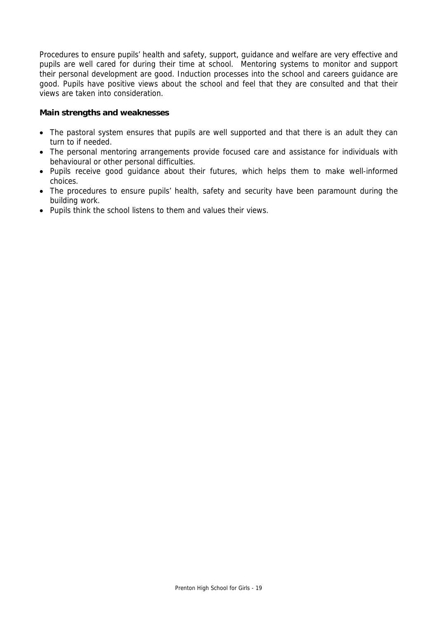Procedures to ensure pupils' health and safety, support, guidance and welfare are very effective and pupils are well cared for during their time at school. Mentoring systems to monitor and support their personal development are good. Induction processes into the school and careers guidance are good. Pupils have positive views about the school and feel that they are consulted and that their views are taken into consideration.

#### **Main strengths and weaknesses**

- The pastoral system ensures that pupils are well supported and that there is an adult they can turn to if needed.
- The personal mentoring arrangements provide focused care and assistance for individuals with behavioural or other personal difficulties.
- Pupils receive good guidance about their futures, which helps them to make well-informed choices.
- The procedures to ensure pupils' health, safety and security have been paramount during the building work.
- Pupils think the school listens to them and values their views.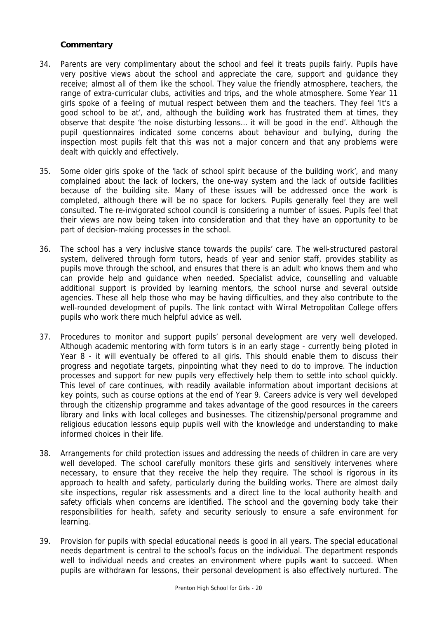- 34. Parents are very complimentary about the school and feel it treats pupils fairly. Pupils have very positive views about the school and appreciate the care, support and guidance they receive; almost all of them like the school. They value the friendly atmosphere, teachers, the range of extra-curricular clubs, activities and trips, and the whole atmosphere. Some Year 11 girls spoke of a feeling of mutual respect between them and the teachers. They feel 'It's a good school to be at', and, although the building work has frustrated them at times, they observe that despite 'the noise disturbing lessons… it will be good in the end'. Although the pupil questionnaires indicated some concerns about behaviour and bullying, during the inspection most pupils felt that this was not a major concern and that any problems were dealt with quickly and effectively.
- 35. Some older girls spoke of the 'lack of school spirit because of the building work', and many complained about the lack of lockers, the one-way system and the lack of outside facilities because of the building site. Many of these issues will be addressed once the work is completed, although there will be no space for lockers. Pupils generally feel they are well consulted. The re-invigorated school council is considering a number of issues. Pupils feel that their views are now being taken into consideration and that they have an opportunity to be part of decision-making processes in the school.
- 36. The school has a very inclusive stance towards the pupils' care. The well-structured pastoral system, delivered through form tutors, heads of year and senior staff, provides stability as pupils move through the school, and ensures that there is an adult who knows them and who can provide help and guidance when needed. Specialist advice, counselling and valuable additional support is provided by learning mentors, the school nurse and several outside agencies. These all help those who may be having difficulties, and they also contribute to the well-rounded development of pupils. The link contact with Wirral Metropolitan College offers pupils who work there much helpful advice as well.
- 37. Procedures to monitor and support pupils' personal development are very well developed. Although academic mentoring with form tutors is in an early stage - currently being piloted in Year 8 - it will eventually be offered to all girls. This should enable them to discuss their progress and negotiate targets, pinpointing what they need to do to improve. The induction processes and support for new pupils very effectively help them to settle into school quickly. This level of care continues, with readily available information about important decisions at key points, such as course options at the end of Year 9. Careers advice is very well developed through the citizenship programme and takes advantage of the good resources in the careers library and links with local colleges and businesses. The citizenship/personal programme and religious education lessons equip pupils well with the knowledge and understanding to make informed choices in their life.
- 38. Arrangements for child protection issues and addressing the needs of children in care are very well developed. The school carefully monitors these girls and sensitively intervenes where necessary, to ensure that they receive the help they require. The school is rigorous in its approach to health and safety, particularly during the building works. There are almost daily site inspections, regular risk assessments and a direct line to the local authority health and safety officials when concerns are identified. The school and the governing body take their responsibilities for health, safety and security seriously to ensure a safe environment for learning.
- 39. Provision for pupils with special educational needs is good in all years. The special educational needs department is central to the school's focus on the individual. The department responds well to individual needs and creates an environment where pupils want to succeed. When pupils are withdrawn for lessons, their personal development is also effectively nurtured. The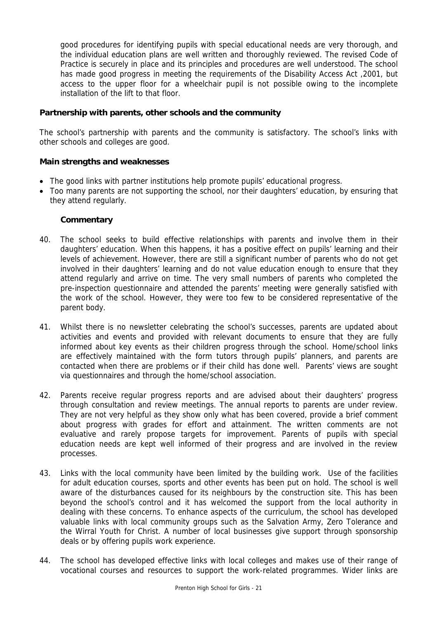good procedures for identifying pupils with special educational needs are very thorough, and the individual education plans are well written and thoroughly reviewed. The revised Code of Practice is securely in place and its principles and procedures are well understood. The school has made good progress in meeting the requirements of the Disability Access Act ,2001, but access to the upper floor for a wheelchair pupil is not possible owing to the incomplete installation of the lift to that floor.

#### **Partnership with parents, other schools and the community**

The school's partnership with parents and the community is satisfactory. The school's links with other schools and colleges are good.

#### **Main strengths and weaknesses**

- The good links with partner institutions help promote pupils' educational progress.
- Too many parents are not supporting the school, nor their daughters' education, by ensuring that they attend regularly.

- 40. The school seeks to build effective relationships with parents and involve them in their daughters' education. When this happens, it has a positive effect on pupils' learning and their levels of achievement. However, there are still a significant number of parents who do not get involved in their daughters' learning and do not value education enough to ensure that they attend regularly and arrive on time. The very small numbers of parents who completed the pre-inspection questionnaire and attended the parents' meeting were generally satisfied with the work of the school. However, they were too few to be considered representative of the parent body.
- 41. Whilst there is no newsletter celebrating the school's successes, parents are updated about activities and events and provided with relevant documents to ensure that they are fully informed about key events as their children progress through the school. Home/school links are effectively maintained with the form tutors through pupils' planners, and parents are contacted when there are problems or if their child has done well. Parents' views are sought via questionnaires and through the home/school association.
- 42. Parents receive regular progress reports and are advised about their daughters' progress through consultation and review meetings. The annual reports to parents are under review. They are not very helpful as they show only what has been covered, provide a brief comment about progress with grades for effort and attainment. The written comments are not evaluative and rarely propose targets for improvement. Parents of pupils with special education needs are kept well informed of their progress and are involved in the review processes.
- 43. Links with the local community have been limited by the building work. Use of the facilities for adult education courses, sports and other events has been put on hold. The school is well aware of the disturbances caused for its neighbours by the construction site. This has been beyond the school's control and it has welcomed the support from the local authority in dealing with these concerns. To enhance aspects of the curriculum, the school has developed valuable links with local community groups such as the Salvation Army, Zero Tolerance and the Wirral Youth for Christ. A number of local businesses give support through sponsorship deals or by offering pupils work experience.
- 44. The school has developed effective links with local colleges and makes use of their range of vocational courses and resources to support the work-related programmes. Wider links are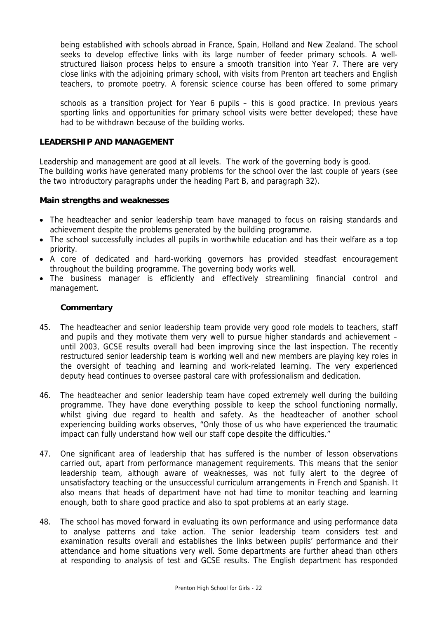being established with schools abroad in France, Spain, Holland and New Zealand. The school seeks to develop effective links with its large number of feeder primary schools. A wellstructured liaison process helps to ensure a smooth transition into Year 7. There are very close links with the adjoining primary school, with visits from Prenton art teachers and English teachers, to promote poetry. A forensic science course has been offered to some primary

schools as a transition project for Year 6 pupils – this is good practice. In previous years sporting links and opportunities for primary school visits were better developed; these have had to be withdrawn because of the building works.

#### **LEADERSHIP AND MANAGEMENT**

Leadership and management are good at all levels. The work of the governing body is good. The building works have generated many problems for the school over the last couple of years (see the two introductory paragraphs under the heading Part B, and paragraph 32).

#### **Main strengths and weaknesses**

- The headteacher and senior leadership team have managed to focus on raising standards and achievement despite the problems generated by the building programme.
- The school successfully includes all pupils in worthwhile education and has their welfare as a top priority.
- A core of dedicated and hard-working governors has provided steadfast encouragement throughout the building programme. The governing body works well.
- The business manager is efficiently and effectively streamlining financial control and management.

- 45. The headteacher and senior leadership team provide very good role models to teachers, staff and pupils and they motivate them very well to pursue higher standards and achievement – until 2003, GCSE results overall had been improving since the last inspection. The recently restructured senior leadership team is working well and new members are playing key roles in the oversight of teaching and learning and work-related learning. The very experienced deputy head continues to oversee pastoral care with professionalism and dedication.
- 46. The headteacher and senior leadership team have coped extremely well during the building programme. They have done everything possible to keep the school functioning normally, whilst giving due regard to health and safety. As the headteacher of another school experiencing building works observes, "Only those of us who have experienced the traumatic impact can fully understand how well our staff cope despite the difficulties."
- 47. One significant area of leadership that has suffered is the number of lesson observations carried out, apart from performance management requirements. This means that the senior leadership team, although aware of weaknesses, was not fully alert to the degree of unsatisfactory teaching or the unsuccessful curriculum arrangements in French and Spanish. It also means that heads of department have not had time to monitor teaching and learning enough, both to share good practice and also to spot problems at an early stage.
- 48. The school has moved forward in evaluating its own performance and using performance data to analyse patterns and take action. The senior leadership team considers test and examination results overall and establishes the links between pupils' performance and their attendance and home situations very well. Some departments are further ahead than others at responding to analysis of test and GCSE results. The English department has responded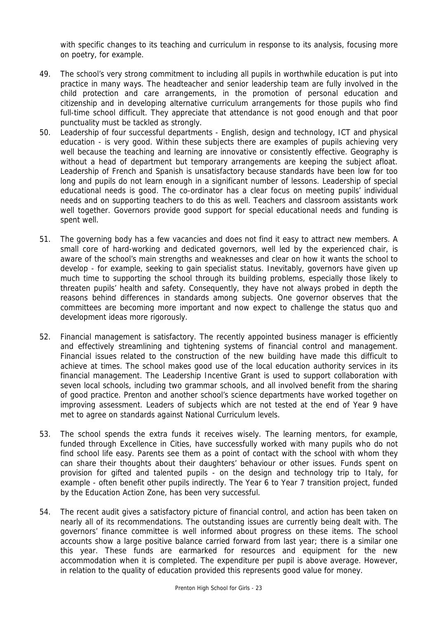with specific changes to its teaching and curriculum in response to its analysis, focusing more on poetry, for example.

- 49. The school's very strong commitment to including all pupils in worthwhile education is put into practice in many ways. The headteacher and senior leadership team are fully involved in the child protection and care arrangements, in the promotion of personal education and citizenship and in developing alternative curriculum arrangements for those pupils who find full-time school difficult. They appreciate that attendance is not good enough and that poor punctuality must be tackled as strongly.
- 50. Leadership of four successful departments English, design and technology, ICT and physical education - is very good. Within these subjects there are examples of pupils achieving very well because the teaching and learning are innovative or consistently effective. Geography is without a head of department but temporary arrangements are keeping the subject afloat. Leadership of French and Spanish is unsatisfactory because standards have been low for too long and pupils do not learn enough in a significant number of lessons. Leadership of special educational needs is good. The co-ordinator has a clear focus on meeting pupils' individual needs and on supporting teachers to do this as well. Teachers and classroom assistants work well together. Governors provide good support for special educational needs and funding is spent well.
- 51. The governing body has a few vacancies and does not find it easy to attract new members. A small core of hard-working and dedicated governors, well led by the experienced chair, is aware of the school's main strengths and weaknesses and clear on how it wants the school to develop - for example, seeking to gain specialist status. Inevitably, governors have given up much time to supporting the school through its building problems, especially those likely to threaten pupils' health and safety. Consequently, they have not always probed in depth the reasons behind differences in standards among subjects. One governor observes that the committees are becoming more important and now expect to challenge the status quo and development ideas more rigorously.
- 52. Financial management is satisfactory. The recently appointed business manager is efficiently and effectively streamlining and tightening systems of financial control and management. Financial issues related to the construction of the new building have made this difficult to achieve at times. The school makes good use of the local education authority services in its financial management. The Leadership Incentive Grant is used to support collaboration with seven local schools, including two grammar schools, and all involved benefit from the sharing of good practice. Prenton and another school's science departments have worked together on improving assessment. Leaders of subjects which are not tested at the end of Year 9 have met to agree on standards against National Curriculum levels.
- 53. The school spends the extra funds it receives wisely. The learning mentors, for example, funded through Excellence in Cities, have successfully worked with many pupils who do not find school life easy. Parents see them as a point of contact with the school with whom they can share their thoughts about their daughters' behaviour or other issues. Funds spent on provision for gifted and talented pupils - on the design and technology trip to Italy, for example - often benefit other pupils indirectly. The Year 6 to Year 7 transition project, funded by the Education Action Zone, has been very successful.
- 54. The recent audit gives a satisfactory picture of financial control, and action has been taken on nearly all of its recommendations. The outstanding issues are currently being dealt with. The governors' finance committee is well informed about progress on these items. The school accounts show a large positive balance carried forward from last year; there is a similar one this year. These funds are earmarked for resources and equipment for the new accommodation when it is completed. The expenditure per pupil is above average. However, in relation to the quality of education provided this represents good value for money.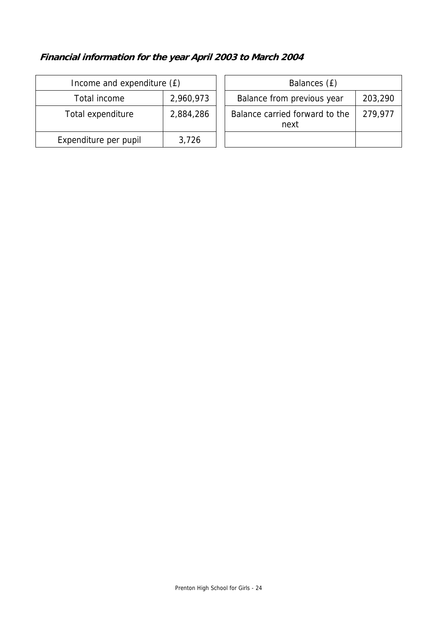# **Financial information for the year April 2003 to March 2004**

| Income and expenditure (£) |           | Balances (£)                           |         |
|----------------------------|-----------|----------------------------------------|---------|
| Total income               | 2,960,973 | Balance from previous year             | 203,290 |
| Total expenditure          | 2,884,286 | Balance carried forward to the<br>next | 279,977 |
| Expenditure per pupil      | 3,726     |                                        |         |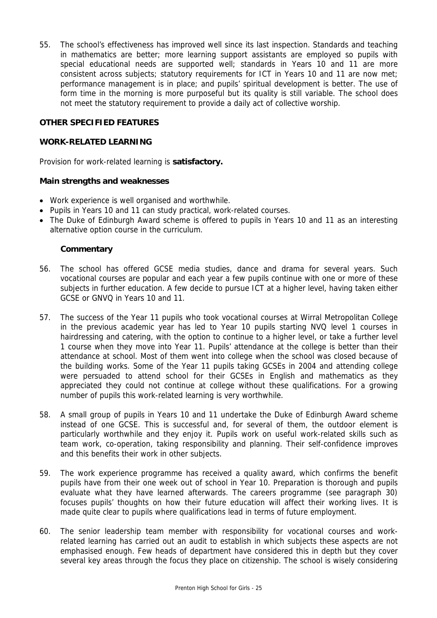55. The school's effectiveness has improved well since its last inspection. Standards and teaching in mathematics are better; more learning support assistants are employed so pupils with special educational needs are supported well; standards in Years 10 and 11 are more consistent across subjects; statutory requirements for ICT in Years 10 and 11 are now met; performance management is in place; and pupils' spiritual development is better. The use of form time in the morning is more purposeful but its quality is still variable. The school does not meet the statutory requirement to provide a daily act of collective worship.

#### **OTHER SPECIFIED FEATURES**

#### **WORK-RELATED LEARNING**

Provision for work-related learning is **satisfactory.** 

#### **Main strengths and weaknesses**

- Work experience is well organised and worthwhile.
- Pupils in Years 10 and 11 can study practical, work-related courses.
- The Duke of Edinburgh Award scheme is offered to pupils in Years 10 and 11 as an interesting alternative option course in the curriculum.

- 56. The school has offered GCSE media studies, dance and drama for several years. Such vocational courses are popular and each year a few pupils continue with one or more of these subjects in further education. A few decide to pursue ICT at a higher level, having taken either GCSE or GNVQ in Years 10 and 11.
- 57. The success of the Year 11 pupils who took vocational courses at Wirral Metropolitan College in the previous academic year has led to Year 10 pupils starting NVQ level 1 courses in hairdressing and catering, with the option to continue to a higher level, or take a further level 1 course when they move into Year 11. Pupils' attendance at the college is better than their attendance at school. Most of them went into college when the school was closed because of the building works. Some of the Year 11 pupils taking GCSEs in 2004 and attending college were persuaded to attend school for their GCSEs in English and mathematics as they appreciated they could not continue at college without these qualifications. For a growing number of pupils this work-related learning is very worthwhile.
- 58. A small group of pupils in Years 10 and 11 undertake the Duke of Edinburgh Award scheme instead of one GCSE. This is successful and, for several of them, the outdoor element is particularly worthwhile and they enjoy it. Pupils work on useful work-related skills such as team work, co-operation, taking responsibility and planning. Their self-confidence improves and this benefits their work in other subjects.
- 59. The work experience programme has received a quality award, which confirms the benefit pupils have from their one week out of school in Year 10. Preparation is thorough and pupils evaluate what they have learned afterwards. The careers programme (see paragraph 30) focuses pupils' thoughts on how their future education will affect their working lives. It is made quite clear to pupils where qualifications lead in terms of future employment.
- 60. The senior leadership team member with responsibility for vocational courses and workrelated learning has carried out an audit to establish in which subjects these aspects are not emphasised enough. Few heads of department have considered this in depth but they cover several key areas through the focus they place on citizenship. The school is wisely considering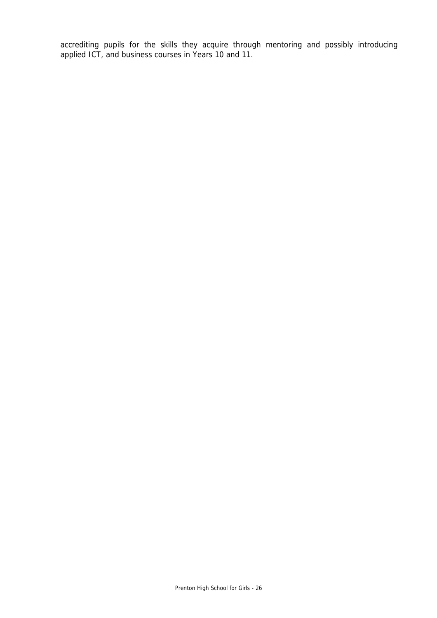accrediting pupils for the skills they acquire through mentoring and possibly introducing applied ICT, and business courses in Years 10 and 11.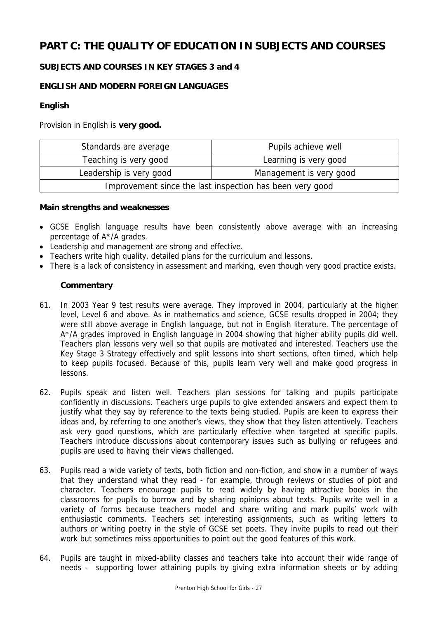# **PART C: THE QUALITY OF EDUCATION IN SUBJECTS AND COURSES**

# **SUBJECTS AND COURSES IN KEY STAGES 3 and 4**

# **ENGLISH AND MODERN FOREIGN LANGUAGES**

## **English**

Provision in English is **very good.**

| Standards are average                                    | Pupils achieve well     |  |
|----------------------------------------------------------|-------------------------|--|
| Teaching is very good                                    | Learning is very good   |  |
| Leadership is very good                                  | Management is very good |  |
| Improvement since the last inspection has been very good |                         |  |

#### **Main strengths and weaknesses**

- GCSE English language results have been consistently above average with an increasing percentage of A\*/A grades.
- Leadership and management are strong and effective.
- Teachers write high quality, detailed plans for the curriculum and lessons.
- There is a lack of consistency in assessment and marking, even though very good practice exists.

- 61. In 2003 Year 9 test results were average. They improved in 2004, particularly at the higher level, Level 6 and above. As in mathematics and science, GCSE results dropped in 2004; they were still above average in English language, but not in English literature. The percentage of A\*/A grades improved in English language in 2004 showing that higher ability pupils did well. Teachers plan lessons very well so that pupils are motivated and interested. Teachers use the Key Stage 3 Strategy effectively and split lessons into short sections, often timed, which help to keep pupils focused. Because of this, pupils learn very well and make good progress in lessons.
- 62. Pupils speak and listen well. Teachers plan sessions for talking and pupils participate confidently in discussions. Teachers urge pupils to give extended answers and expect them to justify what they say by reference to the texts being studied. Pupils are keen to express their ideas and, by referring to one another's views, they show that they listen attentively. Teachers ask very good questions, which are particularly effective when targeted at specific pupils. Teachers introduce discussions about contemporary issues such as bullying or refugees and pupils are used to having their views challenged.
- 63. Pupils read a wide variety of texts, both fiction and non-fiction, and show in a number of ways that they understand what they read - for example, through reviews or studies of plot and character. Teachers encourage pupils to read widely by having attractive books in the classrooms for pupils to borrow and by sharing opinions about texts. Pupils write well in a variety of forms because teachers model and share writing and mark pupils' work with enthusiastic comments. Teachers set interesting assignments, such as writing letters to authors or writing poetry in the style of GCSE set poets. They invite pupils to read out their work but sometimes miss opportunities to point out the good features of this work.
- 64. Pupils are taught in mixed-ability classes and teachers take into account their wide range of needs - supporting lower attaining pupils by giving extra information sheets or by adding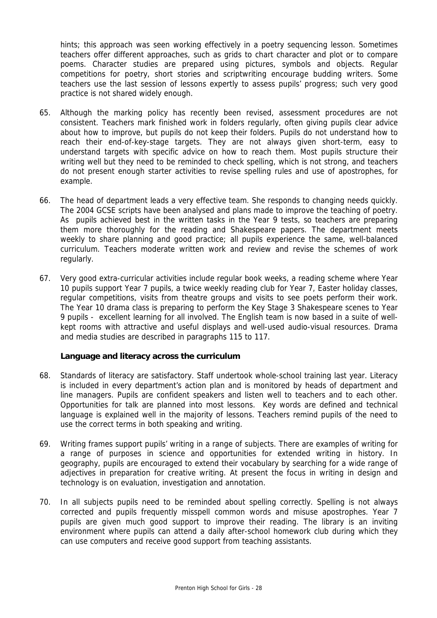hints; this approach was seen working effectively in a poetry sequencing lesson. Sometimes teachers offer different approaches, such as grids to chart character and plot or to compare poems. Character studies are prepared using pictures, symbols and objects. Regular competitions for poetry, short stories and scriptwriting encourage budding writers. Some teachers use the last session of lessons expertly to assess pupils' progress; such very good practice is not shared widely enough.

- 65. Although the marking policy has recently been revised, assessment procedures are not consistent. Teachers mark finished work in folders regularly, often giving pupils clear advice about how to improve, but pupils do not keep their folders. Pupils do not understand how to reach their end-of-key-stage targets. They are not always given short-term, easy to understand targets with specific advice on how to reach them. Most pupils structure their writing well but they need to be reminded to check spelling, which is not strong, and teachers do not present enough starter activities to revise spelling rules and use of apostrophes, for example.
- 66. The head of department leads a very effective team. She responds to changing needs quickly. The 2004 GCSE scripts have been analysed and plans made to improve the teaching of poetry. As pupils achieved best in the written tasks in the Year 9 tests, so teachers are preparing them more thoroughly for the reading and Shakespeare papers. The department meets weekly to share planning and good practice; all pupils experience the same, well-balanced curriculum. Teachers moderate written work and review and revise the schemes of work regularly.
- 67. Very good extra-curricular activities include regular book weeks, a reading scheme where Year 10 pupils support Year 7 pupils, a twice weekly reading club for Year 7, Easter holiday classes, regular competitions, visits from theatre groups and visits to see poets perform their work. The Year 10 drama class is preparing to perform the Key Stage 3 Shakespeare scenes to Year 9 pupils - excellent learning for all involved. The English team is now based in a suite of wellkept rooms with attractive and useful displays and well-used audio-visual resources. Drama and media studies are described in paragraphs 115 to 117.

#### **Language and literacy across the curriculum**

- 68. Standards of literacy are satisfactory. Staff undertook whole-school training last year. Literacy is included in every department's action plan and is monitored by heads of department and line managers. Pupils are confident speakers and listen well to teachers and to each other. Opportunities for talk are planned into most lessons. Key words are defined and technical language is explained well in the majority of lessons. Teachers remind pupils of the need to use the correct terms in both speaking and writing.
- 69. Writing frames support pupils' writing in a range of subjects. There are examples of writing for a range of purposes in science and opportunities for extended writing in history. In geography, pupils are encouraged to extend their vocabulary by searching for a wide range of adjectives in preparation for creative writing. At present the focus in writing in design and technology is on evaluation, investigation and annotation.
- 70. In all subjects pupils need to be reminded about spelling correctly. Spelling is not always corrected and pupils frequently misspell common words and misuse apostrophes. Year 7 pupils are given much good support to improve their reading. The library is an inviting environment where pupils can attend a daily after-school homework club during which they can use computers and receive good support from teaching assistants.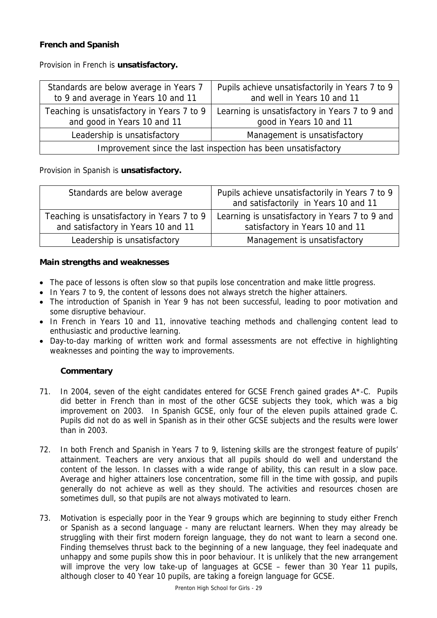# **French and Spanish**

Provision in French is **unsatisfactory.**

| Standards are below average in Years 7<br>to 9 and average in Years 10 and 11 | Pupils achieve unsatisfactorily in Years 7 to 9<br>and well in Years 10 and 11 |  |
|-------------------------------------------------------------------------------|--------------------------------------------------------------------------------|--|
| Teaching is unsatisfactory in Years 7 to 9<br>and good in Years 10 and 11     | Learning is unsatisfactory in Years 7 to 9 and<br>good in Years 10 and 11      |  |
| Leadership is unsatisfactory                                                  | Management is unsatisfactory                                                   |  |
| Improvement since the last inspection has been unsatisfactory                 |                                                                                |  |

Provision in Spanish is **unsatisfactory.**

| Standards are below average                                                       | Pupils achieve unsatisfactorily in Years 7 to 9<br>and satisfactorily in Years 10 and 11 |
|-----------------------------------------------------------------------------------|------------------------------------------------------------------------------------------|
| Teaching is unsatisfactory in Years 7 to 9<br>and satisfactory in Years 10 and 11 | Learning is unsatisfactory in Years 7 to 9 and<br>satisfactory in Years 10 and 11        |
| Leadership is unsatisfactory                                                      | Management is unsatisfactory                                                             |

#### **Main strengths and weaknesses**

- The pace of lessons is often slow so that pupils lose concentration and make little progress.
- In Years 7 to 9, the content of lessons does not always stretch the higher attainers.
- The introduction of Spanish in Year 9 has not been successful, leading to poor motivation and some disruptive behaviour.
- In French in Years 10 and 11, innovative teaching methods and challenging content lead to enthusiastic and productive learning.
- Day-to-day marking of written work and formal assessments are not effective in highlighting weaknesses and pointing the way to improvements.

- 71. In 2004, seven of the eight candidates entered for GCSE French gained grades A\*-C. Pupils did better in French than in most of the other GCSE subjects they took, which was a big improvement on 2003. In Spanish GCSE, only four of the eleven pupils attained grade C. Pupils did not do as well in Spanish as in their other GCSE subjects and the results were lower than in 2003.
- 72. In both French and Spanish in Years 7 to 9, listening skills are the strongest feature of pupils' attainment. Teachers are very anxious that all pupils should do well and understand the content of the lesson. In classes with a wide range of ability, this can result in a slow pace. Average and higher attainers lose concentration, some fill in the time with gossip, and pupils generally do not achieve as well as they should. The activities and resources chosen are sometimes dull, so that pupils are not always motivated to learn.
- 73. Motivation is especially poor in the Year 9 groups which are beginning to study either French or Spanish as a second language - many are reluctant learners. When they may already be struggling with their first modern foreign language, they do not want to learn a second one. Finding themselves thrust back to the beginning of a new language, they feel inadequate and unhappy and some pupils show this in poor behaviour. It is unlikely that the new arrangement will improve the very low take-up of languages at GCSE – fewer than 30 Year 11 pupils, although closer to 40 Year 10 pupils, are taking a foreign language for GCSE.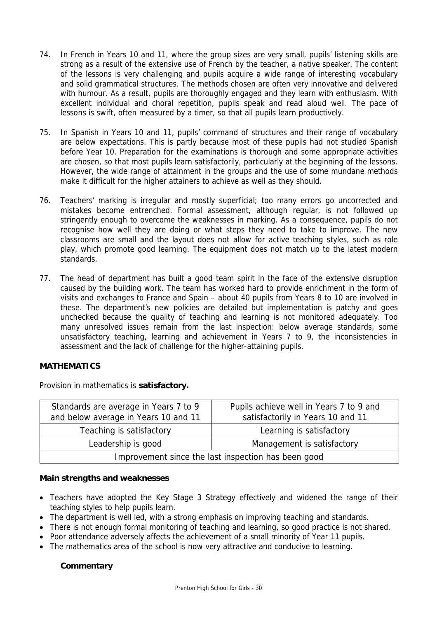- 74. In French in Years 10 and 11, where the group sizes are very small, pupils' listening skills are strong as a result of the extensive use of French by the teacher, a native speaker. The content of the lessons is very challenging and pupils acquire a wide range of interesting vocabulary and solid grammatical structures. The methods chosen are often very innovative and delivered with humour. As a result, pupils are thoroughly engaged and they learn with enthusiasm. With excellent individual and choral repetition, pupils speak and read aloud well. The pace of lessons is swift, often measured by a timer, so that all pupils learn productively.
- 75. In Spanish in Years 10 and 11, pupils' command of structures and their range of vocabulary are below expectations. This is partly because most of these pupils had not studied Spanish before Year 10. Preparation for the examinations is thorough and some appropriate activities are chosen, so that most pupils learn satisfactorily, particularly at the beginning of the lessons. However, the wide range of attainment in the groups and the use of some mundane methods make it difficult for the higher attainers to achieve as well as they should.
- 76. Teachers' marking is irregular and mostly superficial; too many errors go uncorrected and mistakes become entrenched. Formal assessment, although regular, is not followed up stringently enough to overcome the weaknesses in marking. As a consequence, pupils do not recognise how well they are doing or what steps they need to take to improve. The new classrooms are small and the layout does not allow for active teaching styles, such as role play, which promote good learning. The equipment does not match up to the latest modern standards.
- 77. The head of department has built a good team spirit in the face of the extensive disruption caused by the building work. The team has worked hard to provide enrichment in the form of visits and exchanges to France and Spain – about 40 pupils from Years 8 to 10 are involved in these. The department's new policies are detailed but implementation is patchy and goes unchecked because the quality of teaching and learning is not monitored adequately. Too many unresolved issues remain from the last inspection: below average standards, some unsatisfactory teaching, learning and achievement in Years 7 to 9, the inconsistencies in assessment and the lack of challenge for the higher-attaining pupils.

#### **MATHEMATICS**

Provision in mathematics is **satisfactory.**

| Standards are average in Years 7 to 9<br>and below average in Years 10 and 11 | Pupils achieve well in Years 7 to 9 and<br>satisfactorily in Years 10 and 11 |  |  |
|-------------------------------------------------------------------------------|------------------------------------------------------------------------------|--|--|
| Teaching is satisfactory                                                      | Learning is satisfactory                                                     |  |  |
| Leadership is good<br>Management is satisfactory                              |                                                                              |  |  |
| Improvement since the last inspection has been good                           |                                                                              |  |  |

#### **Main strengths and weaknesses**

- Teachers have adopted the Key Stage 3 Strategy effectively and widened the range of their teaching styles to help pupils learn.
- The department is well led, with a strong emphasis on improving teaching and standards.
- There is not enough formal monitoring of teaching and learning, so good practice is not shared.
- Poor attendance adversely affects the achievement of a small minority of Year 11 pupils.
- The mathematics area of the school is now very attractive and conducive to learning.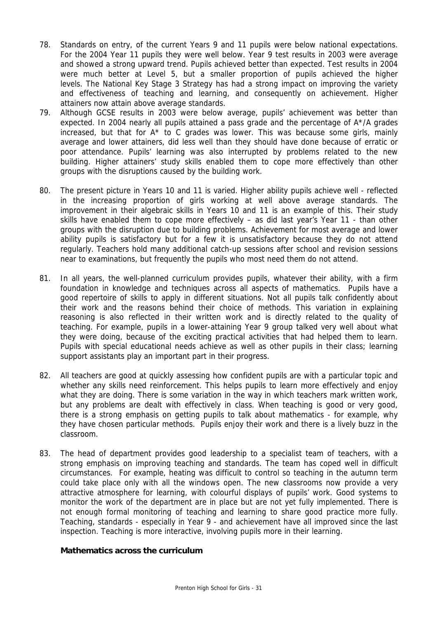- 78. Standards on entry, of the current Years 9 and 11 pupils were below national expectations. For the 2004 Year 11 pupils they were well below. Year 9 test results in 2003 were average and showed a strong upward trend. Pupils achieved better than expected. Test results in 2004 were much better at Level 5, but a smaller proportion of pupils achieved the higher levels. The National Key Stage 3 Strategy has had a strong impact on improving the variety and effectiveness of teaching and learning, and consequently on achievement. Higher attainers now attain above average standards.
- 79. Although GCSE results in 2003 were below average, pupils' achievement was better than expected. In 2004 nearly all pupils attained a pass grade and the percentage of A\*/A grades increased, but that for  $A^*$  to C grades was lower. This was because some girls, mainly average and lower attainers, did less well than they should have done because of erratic or poor attendance. Pupils' learning was also interrupted by problems related to the new building. Higher attainers' study skills enabled them to cope more effectively than other groups with the disruptions caused by the building work.
- 80. The present picture in Years 10 and 11 is varied. Higher ability pupils achieve well reflected in the increasing proportion of girls working at well above average standards. The improvement in their algebraic skills in Years 10 and 11 is an example of this. Their study skills have enabled them to cope more effectively – as did last year's Year 11 - than other groups with the disruption due to building problems. Achievement for most average and lower ability pupils is satisfactory but for a few it is unsatisfactory because they do not attend regularly. Teachers hold many additional catch-up sessions after school and revision sessions near to examinations, but frequently the pupils who most need them do not attend.
- 81. In all years, the well-planned curriculum provides pupils, whatever their ability, with a firm foundation in knowledge and techniques across all aspects of mathematics. Pupils have a good repertoire of skills to apply in different situations. Not all pupils talk confidently about their work and the reasons behind their choice of methods. This variation in explaining reasoning is also reflected in their written work and is directly related to the quality of teaching. For example, pupils in a lower-attaining Year 9 group talked very well about what they were doing, because of the exciting practical activities that had helped them to learn. Pupils with special educational needs achieve as well as other pupils in their class; learning support assistants play an important part in their progress.
- 82. All teachers are good at quickly assessing how confident pupils are with a particular topic and whether any skills need reinforcement. This helps pupils to learn more effectively and enjoy what they are doing. There is some variation in the way in which teachers mark written work, but any problems are dealt with effectively in class. When teaching is good or very good, there is a strong emphasis on getting pupils to talk about mathematics - for example, why they have chosen particular methods. Pupils enjoy their work and there is a lively buzz in the classroom.
- 83. The head of department provides good leadership to a specialist team of teachers, with a strong emphasis on improving teaching and standards. The team has coped well in difficult circumstances. For example, heating was difficult to control so teaching in the autumn term could take place only with all the windows open. The new classrooms now provide a very attractive atmosphere for learning, with colourful displays of pupils' work. Good systems to monitor the work of the department are in place but are not yet fully implemented. There is not enough formal monitoring of teaching and learning to share good practice more fully. Teaching, standards - especially in Year 9 - and achievement have all improved since the last inspection. Teaching is more interactive, involving pupils more in their learning.

#### **Mathematics across the curriculum**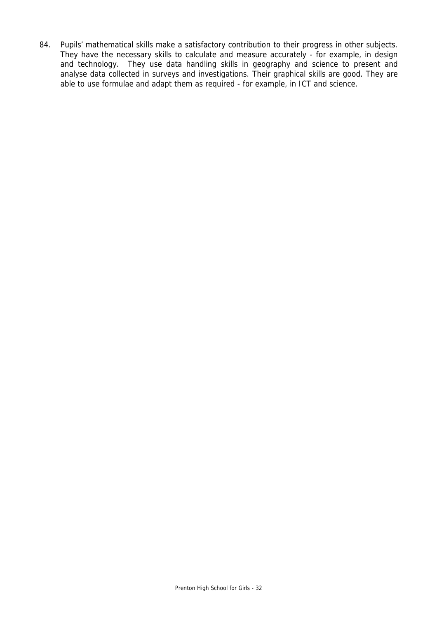84. Pupils' mathematical skills make a satisfactory contribution to their progress in other subjects. They have the necessary skills to calculate and measure accurately - for example, in design and technology. They use data handling skills in geography and science to present and analyse data collected in surveys and investigations. Their graphical skills are good. They are able to use formulae and adapt them as required - for example, in ICT and science.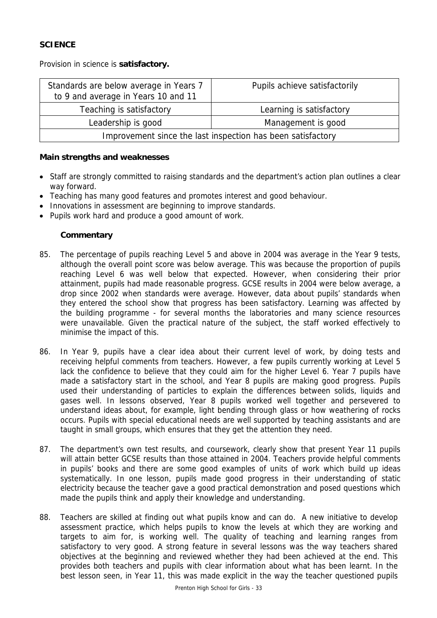## **SCIENCE**

Provision in science is **satisfactory.**

| Standards are below average in Years 7<br>to 9 and average in Years 10 and 11 | Pupils achieve satisfactorily |  |
|-------------------------------------------------------------------------------|-------------------------------|--|
| Teaching is satisfactory                                                      | Learning is satisfactory      |  |
| Leadership is good                                                            | Management is good            |  |
| Improvement since the last inspection has been satisfactory                   |                               |  |

#### **Main strengths and weaknesses**

- Staff are strongly committed to raising standards and the department's action plan outlines a clear way forward.
- Teaching has many good features and promotes interest and good behaviour.
- Innovations in assessment are beginning to improve standards.
- Pupils work hard and produce a good amount of work.

- 85. The percentage of pupils reaching Level 5 and above in 2004 was average in the Year 9 tests, although the overall point score was below average. This was because the proportion of pupils reaching Level 6 was well below that expected. However, when considering their prior attainment, pupils had made reasonable progress. GCSE results in 2004 were below average, a drop since 2002 when standards were average. However, data about pupils' standards when they entered the school show that progress has been satisfactory. Learning was affected by the building programme - for several months the laboratories and many science resources were unavailable. Given the practical nature of the subject, the staff worked effectively to minimise the impact of this.
- 86. In Year 9, pupils have a clear idea about their current level of work, by doing tests and receiving helpful comments from teachers. However, a few pupils currently working at Level 5 lack the confidence to believe that they could aim for the higher Level 6. Year 7 pupils have made a satisfactory start in the school, and Year 8 pupils are making good progress. Pupils used their understanding of particles to explain the differences between solids, liquids and gases well. In lessons observed, Year 8 pupils worked well together and persevered to understand ideas about, for example, light bending through glass or how weathering of rocks occurs. Pupils with special educational needs are well supported by teaching assistants and are taught in small groups, which ensures that they get the attention they need.
- 87. The department's own test results, and coursework, clearly show that present Year 11 pupils will attain better GCSE results than those attained in 2004. Teachers provide helpful comments in pupils' books and there are some good examples of units of work which build up ideas systematically. In one lesson, pupils made good progress in their understanding of static electricity because the teacher gave a good practical demonstration and posed questions which made the pupils think and apply their knowledge and understanding.
- 88. Teachers are skilled at finding out what pupils know and can do. A new initiative to develop assessment practice, which helps pupils to know the levels at which they are working and targets to aim for, is working well. The quality of teaching and learning ranges from satisfactory to very good. A strong feature in several lessons was the way teachers shared objectives at the beginning and reviewed whether they had been achieved at the end. This provides both teachers and pupils with clear information about what has been learnt. In the best lesson seen, in Year 11, this was made explicit in the way the teacher questioned pupils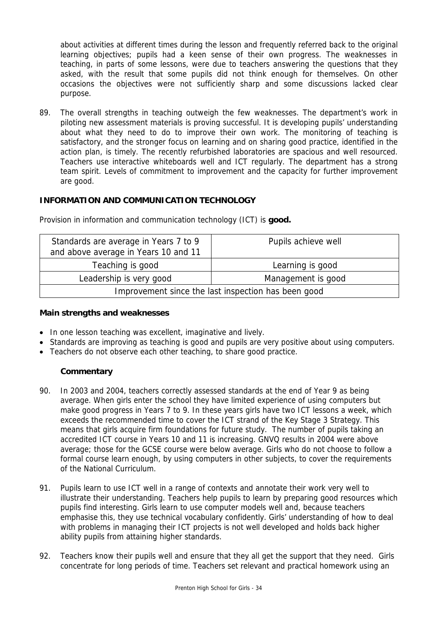about activities at different times during the lesson and frequently referred back to the original learning objectives; pupils had a keen sense of their own progress. The weaknesses in teaching, in parts of some lessons, were due to teachers answering the questions that they asked, with the result that some pupils did not think enough for themselves. On other occasions the objectives were not sufficiently sharp and some discussions lacked clear purpose.

89. The overall strengths in teaching outweigh the few weaknesses. The department's work in piloting new assessment materials is proving successful. It is developing pupils' understanding about what they need to do to improve their own work. The monitoring of teaching is satisfactory, and the stronger focus on learning and on sharing good practice, identified in the action plan, is timely. The recently refurbished laboratories are spacious and well resourced. Teachers use interactive whiteboards well and ICT regularly. The department has a strong team spirit. Levels of commitment to improvement and the capacity for further improvement are good.

## **INFORMATION AND COMMUNICATION TECHNOLOGY**

| Standards are average in Years 7 to 9<br>and above average in Years 10 and 11 | Pupils achieve well |  |
|-------------------------------------------------------------------------------|---------------------|--|
| Teaching is good                                                              | Learning is good    |  |
| Leadership is very good                                                       | Management is good  |  |
| Improvement since the last inspection has been good                           |                     |  |

Provision in information and communication technology (ICT) is **good.**

#### **Main strengths and weaknesses**

- In one lesson teaching was excellent, imaginative and lively.
- Standards are improving as teaching is good and pupils are very positive about using computers.
- Teachers do not observe each other teaching, to share good practice.

- 90. In 2003 and 2004, teachers correctly assessed standards at the end of Year 9 as being average. When girls enter the school they have limited experience of using computers but make good progress in Years 7 to 9. In these years girls have two ICT lessons a week, which exceeds the recommended time to cover the ICT strand of the Key Stage 3 Strategy. This means that girls acquire firm foundations for future study. The number of pupils taking an accredited ICT course in Years 10 and 11 is increasing. GNVQ results in 2004 were above average; those for the GCSE course were below average. Girls who do not choose to follow a formal course learn enough, by using computers in other subjects, to cover the requirements of the National Curriculum.
- 91. Pupils learn to use ICT well in a range of contexts and annotate their work very well to illustrate their understanding. Teachers help pupils to learn by preparing good resources which pupils find interesting. Girls learn to use computer models well and, because teachers emphasise this, they use technical vocabulary confidently. Girls' understanding of how to deal with problems in managing their ICT projects is not well developed and holds back higher ability pupils from attaining higher standards.
- 92. Teachers know their pupils well and ensure that they all get the support that they need. Girls concentrate for long periods of time. Teachers set relevant and practical homework using an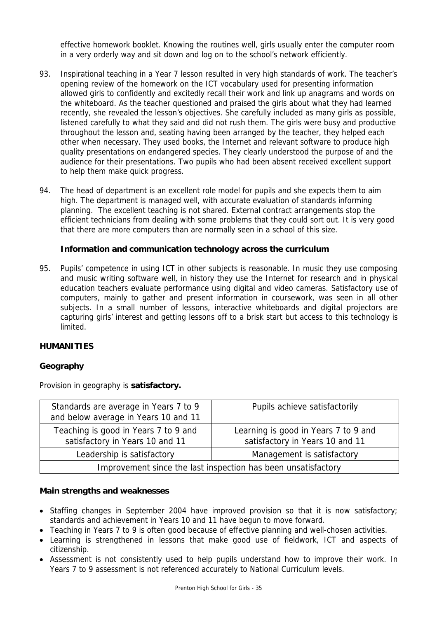effective homework booklet. Knowing the routines well, girls usually enter the computer room in a very orderly way and sit down and log on to the school's network efficiently.

- 93. Inspirational teaching in a Year 7 lesson resulted in very high standards of work. The teacher's opening review of the homework on the ICT vocabulary used for presenting information allowed girls to confidently and excitedly recall their work and link up anagrams and words on the whiteboard. As the teacher questioned and praised the girls about what they had learned recently, she revealed the lesson's objectives. She carefully included as many girls as possible, listened carefully to what they said and did not rush them. The girls were busy and productive throughout the lesson and, seating having been arranged by the teacher, they helped each other when necessary. They used books, the Internet and relevant software to produce high quality presentations on endangered species. They clearly understood the purpose of and the audience for their presentations. Two pupils who had been absent received excellent support to help them make quick progress.
- 94. The head of department is an excellent role model for pupils and she expects them to aim high. The department is managed well, with accurate evaluation of standards informing planning. The excellent teaching is not shared. External contract arrangements stop the efficient technicians from dealing with some problems that they could sort out. It is very good that there are more computers than are normally seen in a school of this size.

#### **Information and communication technology across the curriculum**

95. Pupils' competence in using ICT in other subjects is reasonable. In music they use composing and music writing software well, in history they use the Internet for research and in physical education teachers evaluate performance using digital and video cameras. Satisfactory use of computers, mainly to gather and present information in coursework, was seen in all other subjects. In a small number of lessons, interactive whiteboards and digital projectors are capturing girls' interest and getting lessons off to a brisk start but access to this technology is limited.

#### **HUMANITIES**

#### **Geography**

Provision in geography is **satisfactory.**

| Standards are average in Years 7 to 9<br>and below average in Years 10 and 11 | Pupils achieve satisfactorily                                           |  |  |
|-------------------------------------------------------------------------------|-------------------------------------------------------------------------|--|--|
| Teaching is good in Years 7 to 9 and<br>satisfactory in Years 10 and 11       | Learning is good in Years 7 to 9 and<br>satisfactory in Years 10 and 11 |  |  |
| Leadership is satisfactory                                                    | Management is satisfactory                                              |  |  |
| Improvement since the last inspection has been unsatisfactory                 |                                                                         |  |  |

#### **Main strengths and weaknesses**

- Staffing changes in September 2004 have improved provision so that it is now satisfactory; standards and achievement in Years 10 and 11 have begun to move forward.
- Teaching in Years 7 to 9 is often good because of effective planning and well-chosen activities.
- Learning is strengthened in lessons that make good use of fieldwork, ICT and aspects of citizenship.
- Assessment is not consistently used to help pupils understand how to improve their work. In Years 7 to 9 assessment is not referenced accurately to National Curriculum levels.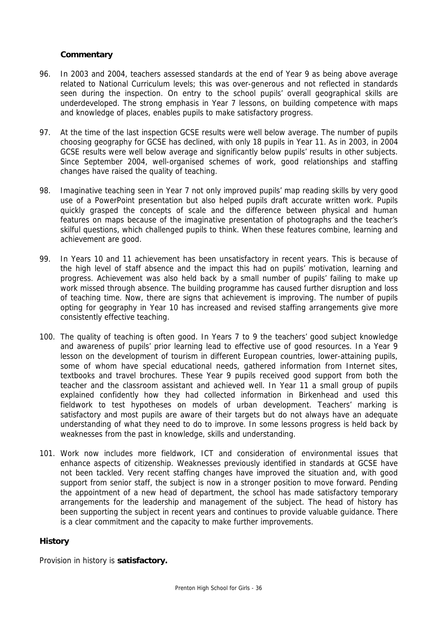#### **Commentary**

- 96. In 2003 and 2004, teachers assessed standards at the end of Year 9 as being above average related to National Curriculum levels; this was over-generous and not reflected in standards seen during the inspection. On entry to the school pupils' overall geographical skills are underdeveloped. The strong emphasis in Year 7 lessons, on building competence with maps and knowledge of places, enables pupils to make satisfactory progress.
- 97. At the time of the last inspection GCSE results were well below average. The number of pupils choosing geography for GCSE has declined, with only 18 pupils in Year 11. As in 2003, in 2004 GCSE results were well below average and significantly below pupils' results in other subjects. Since September 2004, well-organised schemes of work, good relationships and staffing changes have raised the quality of teaching.
- 98. Imaginative teaching seen in Year 7 not only improved pupils' map reading skills by very good use of a PowerPoint presentation but also helped pupils draft accurate written work. Pupils quickly grasped the concepts of scale and the difference between physical and human features on maps because of the imaginative presentation of photographs and the teacher's skilful questions, which challenged pupils to think. When these features combine, learning and achievement are good.
- 99. In Years 10 and 11 achievement has been unsatisfactory in recent years. This is because of the high level of staff absence and the impact this had on pupils' motivation, learning and progress. Achievement was also held back by a small number of pupils' failing to make up work missed through absence. The building programme has caused further disruption and loss of teaching time. Now, there are signs that achievement is improving. The number of pupils opting for geography in Year 10 has increased and revised staffing arrangements give more consistently effective teaching.
- 100. The quality of teaching is often good. In Years 7 to 9 the teachers' good subject knowledge and awareness of pupils' prior learning lead to effective use of good resources. In a Year 9 lesson on the development of tourism in different European countries, lower-attaining pupils, some of whom have special educational needs, gathered information from Internet sites, textbooks and travel brochures. These Year 9 pupils received good support from both the teacher and the classroom assistant and achieved well. In Year 11 a small group of pupils explained confidently how they had collected information in Birkenhead and used this fieldwork to test hypotheses on models of urban development. Teachers' marking is satisfactory and most pupils are aware of their targets but do not always have an adequate understanding of what they need to do to improve. In some lessons progress is held back by weaknesses from the past in knowledge, skills and understanding.
- 101. Work now includes more fieldwork, ICT and consideration of environmental issues that enhance aspects of citizenship. Weaknesses previously identified in standards at GCSE have not been tackled. Very recent staffing changes have improved the situation and, with good support from senior staff, the subject is now in a stronger position to move forward. Pending the appointment of a new head of department, the school has made satisfactory temporary arrangements for the leadership and management of the subject. The head of history has been supporting the subject in recent years and continues to provide valuable guidance. There is a clear commitment and the capacity to make further improvements.

#### **History**

Provision in history is **satisfactory.**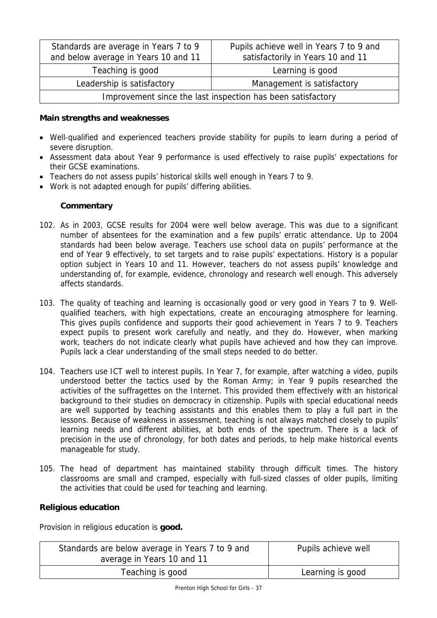| Standards are average in Years 7 to 9<br>and below average in Years 10 and 11 | Pupils achieve well in Years 7 to 9 and<br>satisfactorily in Years 10 and 11 |  |
|-------------------------------------------------------------------------------|------------------------------------------------------------------------------|--|
| Teaching is good                                                              | Learning is good                                                             |  |
| Leadership is satisfactory                                                    | Management is satisfactory                                                   |  |
| Improvement since the last inspection has been satisfactory                   |                                                                              |  |

## **Main strengths and weaknesses**

- Well-qualified and experienced teachers provide stability for pupils to learn during a period of severe disruption.
- Assessment data about Year 9 performance is used effectively to raise pupils' expectations for their GCSE examinations.
- Teachers do not assess pupils' historical skills well enough in Years 7 to 9.
- Work is not adapted enough for pupils' differing abilities.

# **Commentary**

- 102. As in 2003, GCSE results for 2004 were well below average. This was due to a significant number of absentees for the examination and a few pupils' erratic attendance. Up to 2004 standards had been below average. Teachers use school data on pupils' performance at the end of Year 9 effectively, to set targets and to raise pupils' expectations. History is a popular option subject in Years 10 and 11. However, teachers do not assess pupils' knowledge and understanding of, for example, evidence, chronology and research well enough. This adversely affects standards.
- 103. The quality of teaching and learning is occasionally good or very good in Years 7 to 9. Wellqualified teachers, with high expectations, create an encouraging atmosphere for learning. This gives pupils confidence and supports their good achievement in Years 7 to 9. Teachers expect pupils to present work carefully and neatly, and they do. However, when marking work, teachers do not indicate clearly what pupils have achieved and how they can improve. Pupils lack a clear understanding of the small steps needed to do better.
- 104. Teachers use ICT well to interest pupils. In Year 7, for example, after watching a video, pupils understood better the tactics used by the Roman Army; in Year 9 pupils researched the activities of the suffragettes on the Internet. This provided them effectively with an historical background to their studies on democracy in citizenship. Pupils with special educational needs are well supported by teaching assistants and this enables them to play a full part in the lessons. Because of weakness in assessment, teaching is not always matched closely to pupils' learning needs and different abilities, at both ends of the spectrum. There is a lack of precision in the use of chronology, for both dates and periods, to help make historical events manageable for study.
- 105. The head of department has maintained stability through difficult times. The history classrooms are small and cramped, especially with full-sized classes of older pupils, limiting the activities that could be used for teaching and learning.

# **Religious education**

Provision in religious education is **good.**

| Standards are below average in Years 7 to 9 and<br>average in Years 10 and 11 | Pupils achieve well |
|-------------------------------------------------------------------------------|---------------------|
| Teaching is good                                                              | Learning is good    |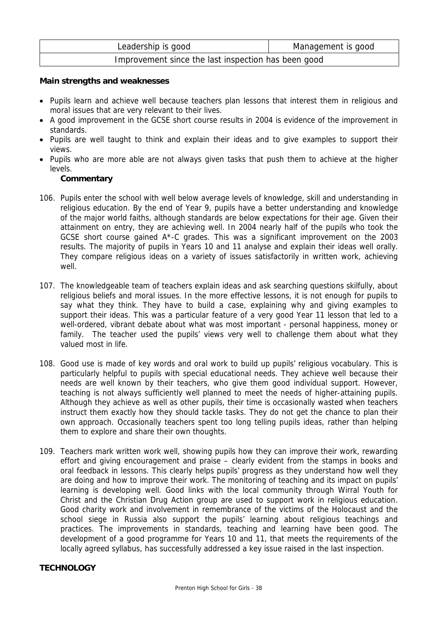| Leadership is good                                  | Management is good |
|-----------------------------------------------------|--------------------|
| Improvement since the last inspection has been good |                    |

#### **Main strengths and weaknesses**

- Pupils learn and achieve well because teachers plan lessons that interest them in religious and moral issues that are very relevant to their lives.
- A good improvement in the GCSE short course results in 2004 is evidence of the improvement in standards.
- Pupils are well taught to think and explain their ideas and to give examples to support their views.
- Pupils who are more able are not always given tasks that push them to achieve at the higher levels.

#### **Commentary**

- 106. Pupils enter the school with well below average levels of knowledge, skill and understanding in religious education. By the end of Year 9, pupils have a better understanding and knowledge of the major world faiths, although standards are below expectations for their age. Given their attainment on entry, they are achieving well. In 2004 nearly half of the pupils who took the GCSE short course gained A\*-C grades. This was a significant improvement on the 2003 results. The majority of pupils in Years 10 and 11 analyse and explain their ideas well orally. They compare religious ideas on a variety of issues satisfactorily in written work, achieving well.
- 107. The knowledgeable team of teachers explain ideas and ask searching questions skilfully, about religious beliefs and moral issues. In the more effective lessons, it is not enough for pupils to say what they think. They have to build a case, explaining why and giving examples to support their ideas. This was a particular feature of a very good Year 11 lesson that led to a well-ordered, vibrant debate about what was most important - personal happiness, money or family. The teacher used the pupils' views very well to challenge them about what they valued most in life.
- 108. Good use is made of key words and oral work to build up pupils' religious vocabulary. This is particularly helpful to pupils with special educational needs. They achieve well because their needs are well known by their teachers, who give them good individual support. However, teaching is not always sufficiently well planned to meet the needs of higher-attaining pupils. Although they achieve as well as other pupils, their time is occasionally wasted when teachers instruct them exactly how they should tackle tasks. They do not get the chance to plan their own approach. Occasionally teachers spent too long telling pupils ideas, rather than helping them to explore and share their own thoughts.
- 109. Teachers mark written work well, showing pupils how they can improve their work, rewarding effort and giving encouragement and praise – clearly evident from the stamps in books and oral feedback in lessons. This clearly helps pupils' progress as they understand how well they are doing and how to improve their work. The monitoring of teaching and its impact on pupils' learning is developing well. Good links with the local community through Wirral Youth for Christ and the Christian Drug Action group are used to support work in religious education. Good charity work and involvement in remembrance of the victims of the Holocaust and the school siege in Russia also support the pupils' learning about religious teachings and practices. The improvements in standards, teaching and learning have been good. The development of a good programme for Years 10 and 11, that meets the requirements of the locally agreed syllabus, has successfully addressed a key issue raised in the last inspection.

#### **TECHNOLOGY**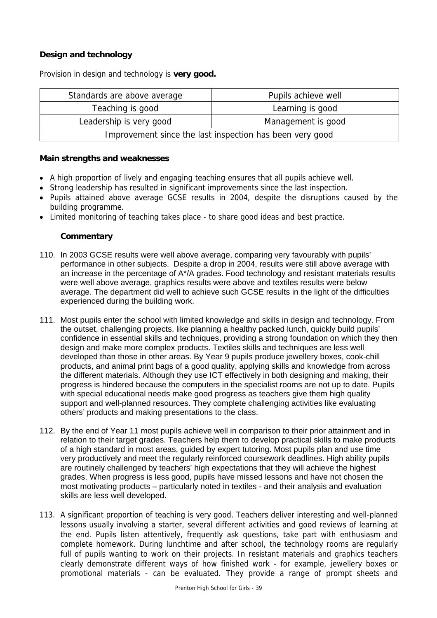# **Design and technology**

Provision in design and technology is **very good.**

| Standards are above average                              | Pupils achieve well |
|----------------------------------------------------------|---------------------|
| Teaching is good                                         | Learning is good    |
| Leadership is very good                                  | Management is good  |
| Improvement since the last inspection has been very good |                     |

#### **Main strengths and weaknesses**

- A high proportion of lively and engaging teaching ensures that all pupils achieve well.
- Strong leadership has resulted in significant improvements since the last inspection.
- Pupils attained above average GCSE results in 2004, despite the disruptions caused by the building programme.
- Limited monitoring of teaching takes place to share good ideas and best practice.

- 110. In 2003 GCSE results were well above average, comparing very favourably with pupils' performance in other subjects. Despite a drop in 2004, results were still above average with an increase in the percentage of A\*/A grades. Food technology and resistant materials results were well above average, graphics results were above and textiles results were below average. The department did well to achieve such GCSE results in the light of the difficulties experienced during the building work.
- 111. Most pupils enter the school with limited knowledge and skills in design and technology. From the outset, challenging projects, like planning a healthy packed lunch, quickly build pupils' confidence in essential skills and techniques, providing a strong foundation on which they then design and make more complex products. Textiles skills and techniques are less well developed than those in other areas. By Year 9 pupils produce jewellery boxes, cook-chill products, and animal print bags of a good quality, applying skills and knowledge from across the different materials. Although they use ICT effectively in both designing and making, their progress is hindered because the computers in the specialist rooms are not up to date. Pupils with special educational needs make good progress as teachers give them high quality support and well-planned resources. They complete challenging activities like evaluating others' products and making presentations to the class.
- 112. By the end of Year 11 most pupils achieve well in comparison to their prior attainment and in relation to their target grades. Teachers help them to develop practical skills to make products of a high standard in most areas, guided by expert tutoring. Most pupils plan and use time very productively and meet the regularly reinforced coursework deadlines. High ability pupils are routinely challenged by teachers' high expectations that they will achieve the highest grades. When progress is less good, pupils have missed lessons and have not chosen the most motivating products – particularly noted in textiles - and their analysis and evaluation skills are less well developed.
- 113. A significant proportion of teaching is very good. Teachers deliver interesting and well-planned lessons usually involving a starter, several different activities and good reviews of learning at the end. Pupils listen attentively, frequently ask questions, take part with enthusiasm and complete homework. During lunchtime and after school, the technology rooms are regularly full of pupils wanting to work on their projects. In resistant materials and graphics teachers clearly demonstrate different ways of how finished work - for example, jewellery boxes or promotional materials - can be evaluated. They provide a range of prompt sheets and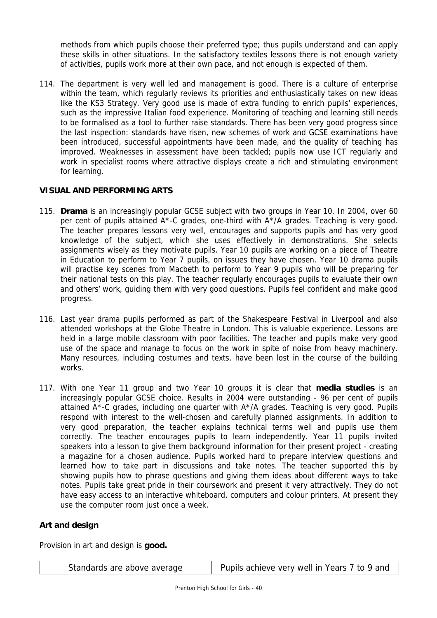methods from which pupils choose their preferred type; thus pupils understand and can apply these skills in other situations. In the satisfactory textiles lessons there is not enough variety of activities, pupils work more at their own pace, and not enough is expected of them.

114. The department is very well led and management is good. There is a culture of enterprise within the team, which regularly reviews its priorities and enthusiastically takes on new ideas like the KS3 Strategy. Very good use is made of extra funding to enrich pupils' experiences, such as the impressive Italian food experience. Monitoring of teaching and learning still needs to be formalised as a tool to further raise standards. There has been very good progress since the last inspection: standards have risen, new schemes of work and GCSE examinations have been introduced, successful appointments have been made, and the quality of teaching has improved. Weaknesses in assessment have been tackled; pupils now use ICT regularly and work in specialist rooms where attractive displays create a rich and stimulating environment for learning.

# **VISUAL AND PERFORMING ARTS**

- 115. **Drama** is an increasingly popular GCSE subject with two groups in Year 10. In 2004, over 60 per cent of pupils attained A\*-C grades, one-third with A\*/A grades. Teaching is very good. The teacher prepares lessons very well, encourages and supports pupils and has very good knowledge of the subject, which she uses effectively in demonstrations. She selects assignments wisely as they motivate pupils. Year 10 pupils are working on a piece of Theatre in Education to perform to Year 7 pupils, on issues they have chosen. Year 10 drama pupils will practise key scenes from Macbeth to perform to Year 9 pupils who will be preparing for their national tests on this play. The teacher regularly encourages pupils to evaluate their own and others' work, guiding them with very good questions. Pupils feel confident and make good progress.
- 116. Last year drama pupils performed as part of the Shakespeare Festival in Liverpool and also attended workshops at the Globe Theatre in London. This is valuable experience. Lessons are held in a large mobile classroom with poor facilities. The teacher and pupils make very good use of the space and manage to focus on the work in spite of noise from heavy machinery. Many resources, including costumes and texts, have been lost in the course of the building works.
- 117. With one Year 11 group and two Year 10 groups it is clear that **media studies** is an increasingly popular GCSE choice. Results in 2004 were outstanding - 96 per cent of pupils attained  $A^*$ -C grades, including one quarter with  $A^*/A$  grades. Teaching is very good. Pupils respond with interest to the well-chosen and carefully planned assignments. In addition to very good preparation, the teacher explains technical terms well and pupils use them correctly. The teacher encourages pupils to learn independently. Year 11 pupils invited speakers into a lesson to give them background information for their present project - creating a magazine for a chosen audience. Pupils worked hard to prepare interview questions and learned how to take part in discussions and take notes. The teacher supported this by showing pupils how to phrase questions and giving them ideas about different ways to take notes. Pupils take great pride in their coursework and present it very attractively. They do not have easy access to an interactive whiteboard, computers and colour printers. At present they use the computer room just once a week.

# **Art and design**

Provision in art and design is **good.**

| Standards are above average | Pupils achieve very well in Years 7 to 9 and |
|-----------------------------|----------------------------------------------|
|-----------------------------|----------------------------------------------|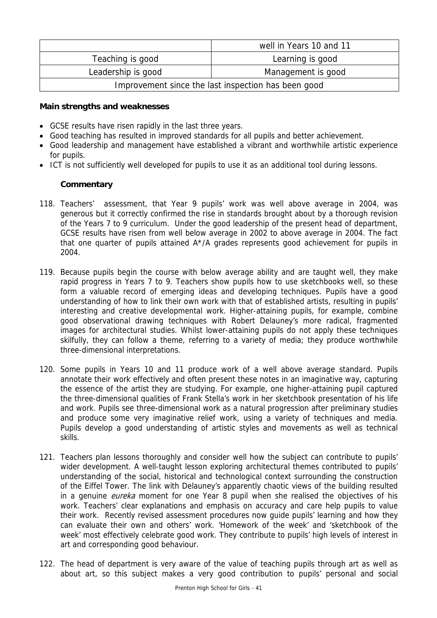|                                                     | well in Years 10 and 11 |
|-----------------------------------------------------|-------------------------|
| Teaching is good                                    | Learning is good        |
| Leadership is good                                  | Management is good      |
| Improvement since the last inspection has been good |                         |

#### **Main strengths and weaknesses**

- GCSE results have risen rapidly in the last three years.
- Good teaching has resulted in improved standards for all pupils and better achievement.
- Good leadership and management have established a vibrant and worthwhile artistic experience for pupils.
- ICT is not sufficiently well developed for pupils to use it as an additional tool during lessons.

- 118. Teachers' assessment, that Year 9 pupils' work was well above average in 2004, was generous but it correctly confirmed the rise in standards brought about by a thorough revision of the Years 7 to 9 curriculum. Under the good leadership of the present head of department, GCSE results have risen from well below average in 2002 to above average in 2004. The fact that one quarter of pupils attained A\*/A grades represents good achievement for pupils in 2004.
- 119. Because pupils begin the course with below average ability and are taught well, they make rapid progress in Years 7 to 9. Teachers show pupils how to use sketchbooks well, so these form a valuable record of emerging ideas and developing techniques. Pupils have a good understanding of how to link their own work with that of established artists, resulting in pupils' interesting and creative developmental work. Higher-attaining pupils, for example, combine good observational drawing techniques with Robert Delauney's more radical, fragmented images for architectural studies. Whilst lower-attaining pupils do not apply these techniques skilfully, they can follow a theme, referring to a variety of media; they produce worthwhile three-dimensional interpretations.
- 120. Some pupils in Years 10 and 11 produce work of a well above average standard. Pupils annotate their work effectively and often present these notes in an imaginative way, capturing the essence of the artist they are studying. For example, one higher-attaining pupil captured the three-dimensional qualities of Frank Stella's work in her sketchbook presentation of his life and work. Pupils see three-dimensional work as a natural progression after preliminary studies and produce some very imaginative relief work, using a variety of techniques and media. Pupils develop a good understanding of artistic styles and movements as well as technical skills.
- 121. Teachers plan lessons thoroughly and consider well how the subject can contribute to pupils' wider development. A well-taught lesson exploring architectural themes contributed to pupils' understanding of the social, historical and technological context surrounding the construction of the Eiffel Tower. The link with Delauney's apparently chaotic views of the building resulted in a genuine *eureka* moment for one Year 8 pupil when she realised the objectives of his work. Teachers' clear explanations and emphasis on accuracy and care help pupils to value their work. Recently revised assessment procedures now guide pupils' learning and how they can evaluate their own and others' work. 'Homework of the week' and 'sketchbook of the week' most effectively celebrate good work. They contribute to pupils' high levels of interest in art and corresponding good behaviour.
- 122. The head of department is very aware of the value of teaching pupils through art as well as about art, so this subject makes a very good contribution to pupils' personal and social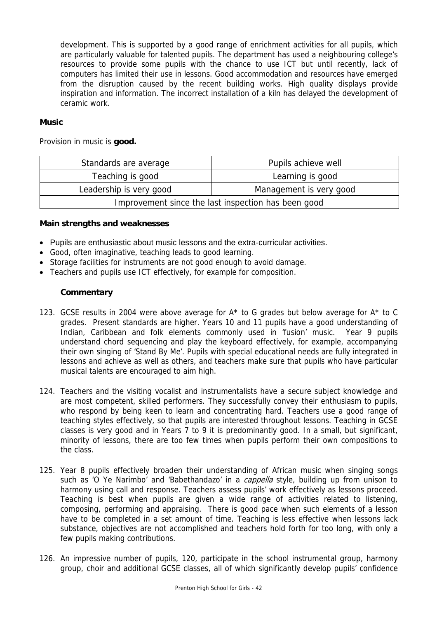development. This is supported by a good range of enrichment activities for all pupils, which are particularly valuable for talented pupils. The department has used a neighbouring college's resources to provide some pupils with the chance to use ICT but until recently, lack of computers has limited their use in lessons. Good accommodation and resources have emerged from the disruption caused by the recent building works. High quality displays provide inspiration and information. The incorrect installation of a kiln has delayed the development of ceramic work.

#### **Music**

Provision in music is **good.**

| Standards are average                               | Pupils achieve well     |  |
|-----------------------------------------------------|-------------------------|--|
| Teaching is good                                    | Learning is good        |  |
| Leadership is very good                             | Management is very good |  |
| Improvement since the last inspection has been good |                         |  |

#### **Main strengths and weaknesses**

- Pupils are enthusiastic about music lessons and the extra-curricular activities.
- Good, often imaginative, teaching leads to good learning.
- Storage facilities for instruments are not good enough to avoid damage.
- Teachers and pupils use ICT effectively, for example for composition.

- 123. GCSE results in 2004 were above average for A\* to G grades but below average for A\* to C grades. Present standards are higher. Years 10 and 11 pupils have a good understanding of Indian, Caribbean and folk elements commonly used in 'fusion' music. Year 9 pupils understand chord sequencing and play the keyboard effectively, for example, accompanying their own singing of 'Stand By Me'. Pupils with special educational needs are fully integrated in lessons and achieve as well as others, and teachers make sure that pupils who have particular musical talents are encouraged to aim high.
- 124. Teachers and the visiting vocalist and instrumentalists have a secure subject knowledge and are most competent, skilled performers. They successfully convey their enthusiasm to pupils, who respond by being keen to learn and concentrating hard. Teachers use a good range of teaching styles effectively, so that pupils are interested throughout lessons. Teaching in GCSE classes is very good and in Years 7 to 9 it is predominantly good. In a small, but significant, minority of lessons, there are too few times when pupils perform their own compositions to the class.
- 125. Year 8 pupils effectively broaden their understanding of African music when singing songs such as 'O Ye Narimbo' and 'Babethandazo' in a *cappella* style, building up from unison to harmony using call and response. Teachers assess pupils' work effectively as lessons proceed. Teaching is best when pupils are given a wide range of activities related to listening, composing, performing and appraising. There is good pace when such elements of a lesson have to be completed in a set amount of time. Teaching is less effective when lessons lack substance, objectives are not accomplished and teachers hold forth for too long, with only a few pupils making contributions.
- 126. An impressive number of pupils, 120, participate in the school instrumental group, harmony group, choir and additional GCSE classes, all of which significantly develop pupils' confidence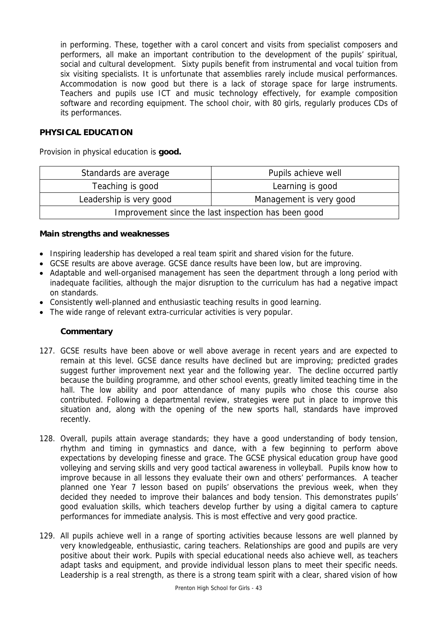in performing. These, together with a carol concert and visits from specialist composers and performers, all make an important contribution to the development of the pupils' spiritual, social and cultural development. Sixty pupils benefit from instrumental and vocal tuition from six visiting specialists. It is unfortunate that assemblies rarely include musical performances. Accommodation is now good but there is a lack of storage space for large instruments. Teachers and pupils use ICT and music technology effectively, for example composition software and recording equipment. The school choir, with 80 girls, regularly produces CDs of its performances.

#### **PHYSICAL EDUCATION**

Provision in physical education is **good.**

| Standards are average                               | Pupils achieve well     |
|-----------------------------------------------------|-------------------------|
| Teaching is good                                    | Learning is good        |
| Leadership is very good                             | Management is very good |
| Improvement since the last inspection has been good |                         |

#### **Main strengths and weaknesses**

- Inspiring leadership has developed a real team spirit and shared vision for the future.
- GCSE results are above average. GCSE dance results have been low, but are improving.
- Adaptable and well-organised management has seen the department through a long period with inadequate facilities, although the major disruption to the curriculum has had a negative impact on standards.
- Consistently well-planned and enthusiastic teaching results in good learning.
- The wide range of relevant extra-curricular activities is very popular.

- 127. GCSE results have been above or well above average in recent years and are expected to remain at this level. GCSE dance results have declined but are improving; predicted grades suggest further improvement next year and the following year. The decline occurred partly because the building programme, and other school events, greatly limited teaching time in the hall. The low ability and poor attendance of many pupils who chose this course also contributed. Following a departmental review, strategies were put in place to improve this situation and, along with the opening of the new sports hall, standards have improved recently.
- 128. Overall, pupils attain average standards; they have a good understanding of body tension, rhythm and timing in gymnastics and dance, with a few beginning to perform above expectations by developing finesse and grace. The GCSE physical education group have good volleying and serving skills and very good tactical awareness in volleyball. Pupils know how to improve because in all lessons they evaluate their own and others' performances. A teacher planned one Year 7 lesson based on pupils' observations the previous week, when they decided they needed to improve their balances and body tension. This demonstrates pupils' good evaluation skills, which teachers develop further by using a digital camera to capture performances for immediate analysis. This is most effective and very good practice.
- 129. All pupils achieve well in a range of sporting activities because lessons are well planned by very knowledgeable, enthusiastic, caring teachers. Relationships are good and pupils are very positive about their work. Pupils with special educational needs also achieve well, as teachers adapt tasks and equipment, and provide individual lesson plans to meet their specific needs. Leadership is a real strength, as there is a strong team spirit with a clear, shared vision of how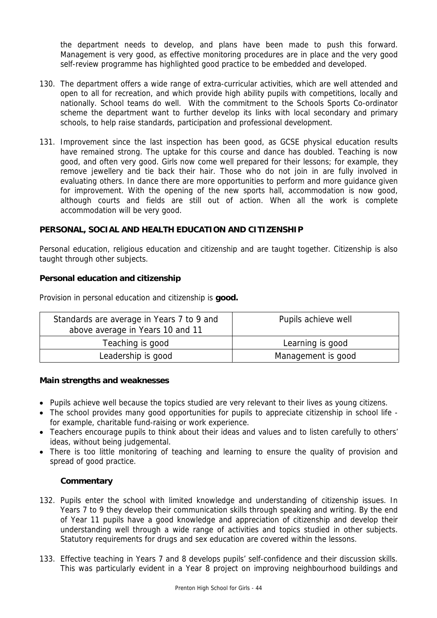the department needs to develop, and plans have been made to push this forward. Management is very good, as effective monitoring procedures are in place and the very good self-review programme has highlighted good practice to be embedded and developed.

- 130. The department offers a wide range of extra-curricular activities, which are well attended and open to all for recreation, and which provide high ability pupils with competitions, locally and nationally. School teams do well. With the commitment to the Schools Sports Co-ordinator scheme the department want to further develop its links with local secondary and primary schools, to help raise standards, participation and professional development.
- 131. Improvement since the last inspection has been good, as GCSE physical education results have remained strong. The uptake for this course and dance has doubled. Teaching is now good, and often very good. Girls now come well prepared for their lessons; for example, they remove jewellery and tie back their hair. Those who do not join in are fully involved in evaluating others. In dance there are more opportunities to perform and more guidance given for improvement. With the opening of the new sports hall, accommodation is now good, although courts and fields are still out of action. When all the work is complete accommodation will be very good.

## **PERSONAL, SOCIAL AND HEALTH EDUCATION AND CITIZENSHIP**

Personal education, religious education and citizenship and are taught together. Citizenship is also taught through other subjects.

#### **Personal education and citizenship**

Provision in personal education and citizenship is **good.** 

| Standards are average in Years 7 to 9 and<br>above average in Years 10 and 11 | Pupils achieve well |
|-------------------------------------------------------------------------------|---------------------|
| Teaching is good                                                              | Learning is good    |
| Leadership is good                                                            | Management is good  |

#### **Main strengths and weaknesses**

- Pupils achieve well because the topics studied are very relevant to their lives as young citizens.
- The school provides many good opportunities for pupils to appreciate citizenship in school life for example, charitable fund-raising or work experience.
- Teachers encourage pupils to think about their ideas and values and to listen carefully to others' ideas, without being judgemental.
- There is too little monitoring of teaching and learning to ensure the quality of provision and spread of good practice.

- 132. Pupils enter the school with limited knowledge and understanding of citizenship issues. In Years 7 to 9 they develop their communication skills through speaking and writing. By the end of Year 11 pupils have a good knowledge and appreciation of citizenship and develop their understanding well through a wide range of activities and topics studied in other subjects. Statutory requirements for drugs and sex education are covered within the lessons.
- 133. Effective teaching in Years 7 and 8 develops pupils' self-confidence and their discussion skills. This was particularly evident in a Year 8 project on improving neighbourhood buildings and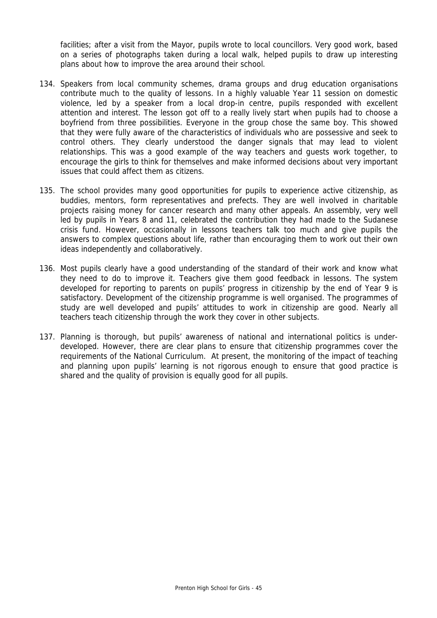facilities; after a visit from the Mayor, pupils wrote to local councillors. Very good work, based on a series of photographs taken during a local walk, helped pupils to draw up interesting plans about how to improve the area around their school.

- 134. Speakers from local community schemes, drama groups and drug education organisations contribute much to the quality of lessons. In a highly valuable Year 11 session on domestic violence, led by a speaker from a local drop-in centre, pupils responded with excellent attention and interest. The lesson got off to a really lively start when pupils had to choose a boyfriend from three possibilities. Everyone in the group chose the same boy. This showed that they were fully aware of the characteristics of individuals who are possessive and seek to control others. They clearly understood the danger signals that may lead to violent relationships. This was a good example of the way teachers and guests work together, to encourage the girls to think for themselves and make informed decisions about very important issues that could affect them as citizens.
- 135. The school provides many good opportunities for pupils to experience active citizenship, as buddies, mentors, form representatives and prefects. They are well involved in charitable projects raising money for cancer research and many other appeals. An assembly, very well led by pupils in Years 8 and 11, celebrated the contribution they had made to the Sudanese crisis fund. However, occasionally in lessons teachers talk too much and give pupils the answers to complex questions about life, rather than encouraging them to work out their own ideas independently and collaboratively.
- 136. Most pupils clearly have a good understanding of the standard of their work and know what they need to do to improve it. Teachers give them good feedback in lessons. The system developed for reporting to parents on pupils' progress in citizenship by the end of Year 9 is satisfactory. Development of the citizenship programme is well organised. The programmes of study are well developed and pupils' attitudes to work in citizenship are good. Nearly all teachers teach citizenship through the work they cover in other subjects.
- 137. Planning is thorough, but pupils' awareness of national and international politics is underdeveloped. However, there are clear plans to ensure that citizenship programmes cover the requirements of the National Curriculum. At present, the monitoring of the impact of teaching and planning upon pupils' learning is not rigorous enough to ensure that good practice is shared and the quality of provision is equally good for all pupils.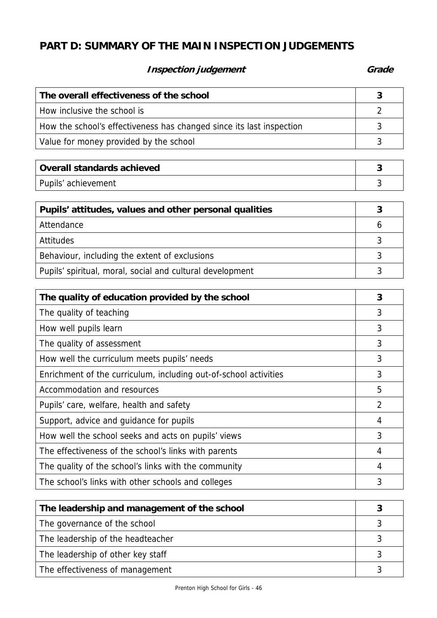# **PART D: SUMMARY OF THE MAIN INSPECTION JUDGEMENTS**

# **Inspection judgement** Grade **Grade**

| The overall effectiveness of the school                              |  |
|----------------------------------------------------------------------|--|
| How inclusive the school is                                          |  |
| How the school's effectiveness has changed since its last inspection |  |
| Value for money provided by the school                               |  |

| Overall standards achieved |  |
|----------------------------|--|
| Pupils' achievement        |  |

| Pupils' attitudes, values and other personal qualities    |  |
|-----------------------------------------------------------|--|
| Attendance                                                |  |
| <b>Attitudes</b>                                          |  |
| Behaviour, including the extent of exclusions             |  |
| Pupils' spiritual, moral, social and cultural development |  |

| The quality of education provided by the school                  | 3              |
|------------------------------------------------------------------|----------------|
| The quality of teaching                                          | 3              |
| How well pupils learn                                            | 3              |
| The quality of assessment                                        | 3              |
| How well the curriculum meets pupils' needs                      | 3              |
| Enrichment of the curriculum, including out-of-school activities | 3              |
| Accommodation and resources                                      | 5              |
| Pupils' care, welfare, health and safety                         | $\overline{2}$ |
| Support, advice and guidance for pupils                          | 4              |
| How well the school seeks and acts on pupils' views              | 3              |
| The effectiveness of the school's links with parents             | 4              |
| The quality of the school's links with the community             | 4              |
| The school's links with other schools and colleges               | 3              |

| The leadership and management of the school |  |
|---------------------------------------------|--|
| The governance of the school                |  |
| The leadership of the headteacher           |  |
| The leadership of other key staff           |  |
| The effectiveness of management             |  |